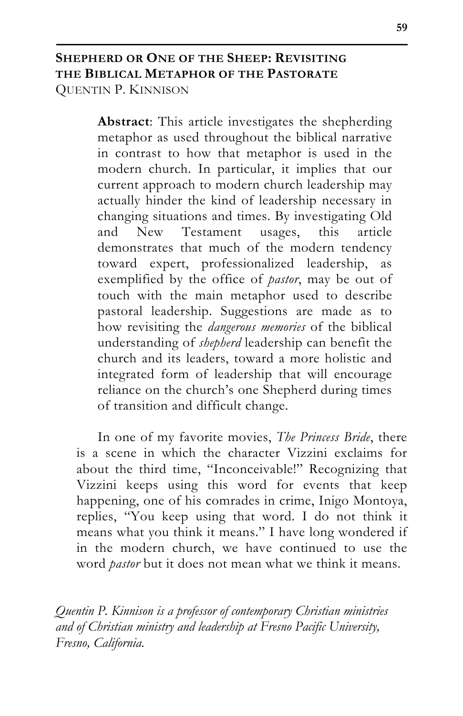# **SHEPHERD OR ONE OF THE SHEEP: REVISITING THE BIBLICAL METAPHOR OF THE PASTORATE** QUENTIN P. KINNISON

**Abstract**: This article investigates the shepherding metaphor as used throughout the biblical narrative in contrast to how that metaphor is used in the modern church. In particular, it implies that our current approach to modern church leadership may actually hinder the kind of leadership necessary in changing situations and times. By investigating Old and New Testament usages, this article demonstrates that much of the modern tendency toward expert, professionalized leadership, as exemplified by the office of *pastor*, may be out of touch with the main metaphor used to describe pastoral leadership. Suggestions are made as to how revisiting the *dangerous memories* of the biblical understanding of *shepherd* leadership can benefit the church and its leaders, toward a more holistic and integrated form of leadership that will encourage reliance on the church's one Shepherd during times of transition and difficult change.

In one of my favorite movies, *The Princess Bride*, there is a scene in which the character Vizzini exclaims for about the third time, "Inconceivable!" Recognizing that Vizzini keeps using this word for events that keep happening, one of his comrades in crime, Inigo Montoya, replies, "You keep using that word. I do not think it means what you think it means." I have long wondered if in the modern church, we have continued to use the word *pastor* but it does not mean what we think it means.

*Quentin P. Kinnison is a professor of contemporary Christian ministries and of Christian ministry and leadership at Fresno Pacific University, Fresno, California.*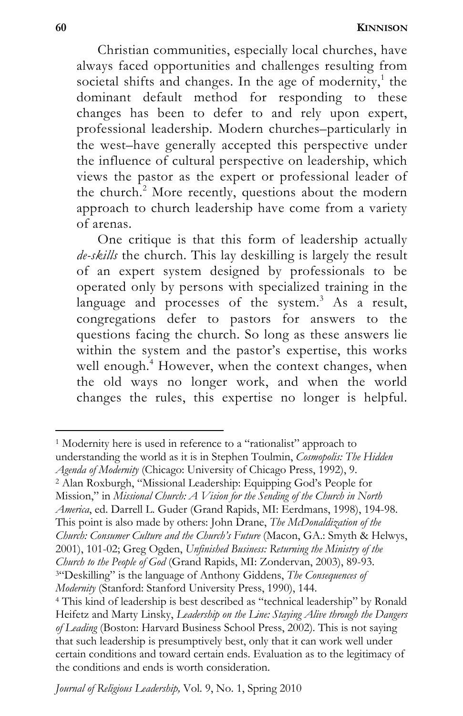**60 KINNISON**

Christian communities, especially local churches, have always faced opportunities and challenges resulting from societal shifts and changes. In the age of modernity,<sup>1</sup> the dominant default method for responding to these changes has been to defer to and rely upon expert, professional leadership. Modern churches–particularly in the west–have generally accepted this perspective under the influence of cultural perspective on leadership, which views the pastor as the expert or professional leader of the church.<sup>2</sup> More recently, questions about the modern approach to church leadership have come from a variety of arenas.

One critique is that this form of leadership actually *de-skills* the church. This lay deskilling is largely the result of an expert system designed by professionals to be operated only by persons with specialized training in the language and processes of the system.<sup>3</sup> As a result, congregations defer to pastors for answers to the questions facing the church. So long as these answers lie within the system and the pastor's expertise, this works well enough.<sup>4</sup> However, when the context changes, when the old ways no longer work, and when the world changes the rules, this expertise no longer is helpful.

<sup>1</sup> Modernity here is used in reference to a "rationalist" approach to understanding the world as it is in Stephen Toulmin, *Cosmopolis: The Hidden* 

*Agenda of Modernity* (Chicago: University of Chicago Press, 1992), 9. 2 Alan Roxburgh, "Missional Leadership: Equipping God's People for

Mission," in *Missional Church: A Vision for the Sending of the Church in North* 

*America*, ed. Darrell L. Guder (Grand Rapids, MI: Eerdmans, 1998), 194-98.

This point is also made by others: John Drane, *The McDonaldization of the* 

*Church: Consumer Culture and the Church's Future* (Macon, GA.: Smyth & Helwys,

2001), 101-02; Greg Ogden, *Unfinished Business: Returning the Ministry of the* 

*Church to the People of God* (Grand Rapids, MI: Zondervan, 2003), 89-93. 3"Deskilling" is the language of Anthony Giddens, *The Consequences of* 

*Modernity* (Stanford: Stanford University Press, 1990), 144.<br><sup>4</sup> This kind of leadership is best described as "technical leadership" by Ronald Heifetz and Marty Linsky, *Leadership on the Line: Staying Alive through the Dangers of Leading* (Boston: Harvard Business School Press, 2002). This is not saying that such leadership is presumptively best, only that it can work well under certain conditions and toward certain ends. Evaluation as to the legitimacy of the conditions and ends is worth consideration.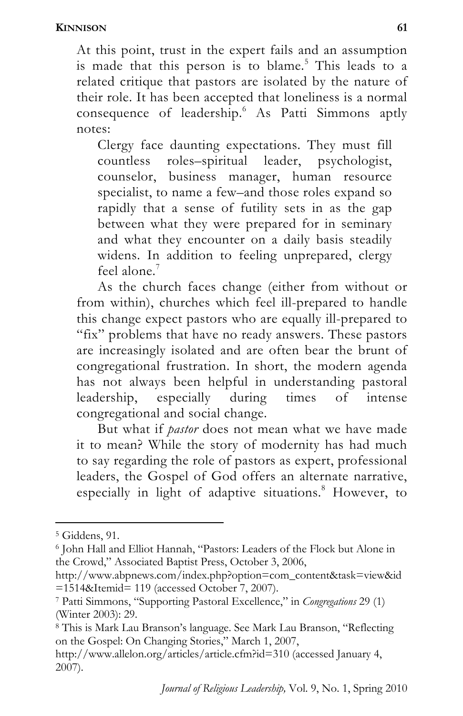At this point, trust in the expert fails and an assumption is made that this person is to blame.<sup>5</sup> This leads to a related critique that pastors are isolated by the nature of their role. It has been accepted that loneliness is a normal consequence of leadership.<sup>6</sup> As Patti Simmons aptly notes:

Clergy face daunting expectations. They must fill countless roles–spiritual leader, psychologist, counselor, business manager, human resource specialist, to name a few–and those roles expand so rapidly that a sense of futility sets in as the gap between what they were prepared for in seminary and what they encounter on a daily basis steadily widens. In addition to feeling unprepared, clergy feel alone $^7$ 

As the church faces change (either from without or from within), churches which feel ill-prepared to handle this change expect pastors who are equally ill-prepared to "fix" problems that have no ready answers. These pastors are increasingly isolated and are often bear the brunt of congregational frustration. In short, the modern agenda has not always been helpful in understanding pastoral leadership, especially during times of intense congregational and social change.

But what if *pastor* does not mean what we have made it to mean? While the story of modernity has had much to say regarding the role of pastors as expert, professional leaders, the Gospel of God offers an alternate narrative, especially in light of adaptive situations.<sup>8</sup> However, to

<sup>5</sup> Giddens, 91.

<sup>6</sup> John Hall and Elliot Hannah, "Pastors: Leaders of the Flock but Alone in the Crowd," Associated Baptist Press, October 3, 2006,

http://www.abpnews.com/index.php?option=com\_content&task=view&id =1514&Itemid= 119 (accessed October 7, 2007).

<sup>7</sup> Patti Simmons, "Supporting Pastoral Excellence," in *Congregations* 29 (1) (Winter 2003): 29.

<sup>8</sup> This is Mark Lau Branson's language. See Mark Lau Branson, "Reflecting on the Gospel: On Changing Stories," March 1, 2007,

http://www.allelon.org/articles/article.cfm?id=310 (accessed January 4, 2007).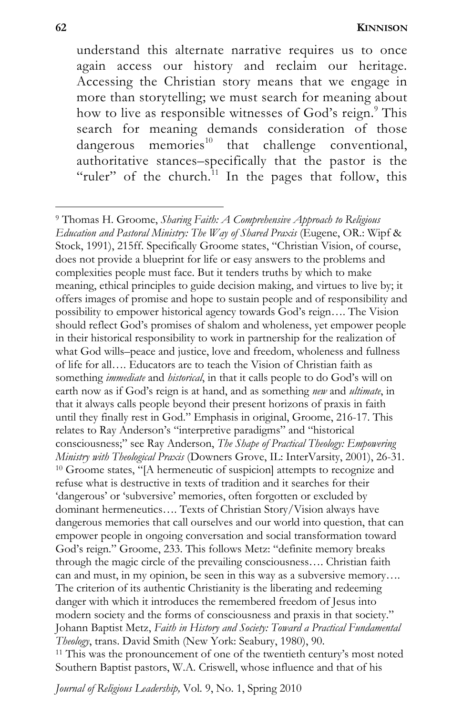understand this alternate narrative requires us to once again access our history and reclaim our heritage. Accessing the Christian story means that we engage in more than storytelling; we must search for meaning about how to live as responsible witnesses of God's reign.<sup>9</sup> This search for meaning demands consideration of those dangerous memories $^{10}$  that challenge conventional, authoritative stances–specifically that the pastor is the "ruler" of the church.<sup>11</sup> In the pages that follow, this

l 9 Thomas H. Groome, *Sharing Faith: A Comprehensive Approach to Religious Education and Pastoral Ministry: The Way of Shared Praxis* (Eugene, OR.: Wipf & Stock, 1991), 215ff. Specifically Groome states, "Christian Vision, of course, does not provide a blueprint for life or easy answers to the problems and complexities people must face. But it tenders truths by which to make meaning, ethical principles to guide decision making, and virtues to live by; it offers images of promise and hope to sustain people and of responsibility and possibility to empower historical agency towards God's reign…. The Vision should reflect God's promises of shalom and wholeness, yet empower people in their historical responsibility to work in partnership for the realization of what God wills–peace and justice, love and freedom, wholeness and fullness of life for all…. Educators are to teach the Vision of Christian faith as something *immediate* and *historical*, in that it calls people to do God's will on earth now as if God's reign is at hand, and as something *new* and *ultimate*, in that it always calls people beyond their present horizons of praxis in faith until they finally rest in God." Emphasis in original, Groome, 216-17. This relates to Ray Anderson's "interpretive paradigms" and "historical consciousness;" see Ray Anderson, *The Shape of Practical Theology: Empowering Ministry with Theological Praxis* (Downers Grove, IL: InterVarsity, 2001), 26-31.<br><sup>10</sup> Groome states, "[A hermeneutic of suspicion] attempts to recognize and refuse what is destructive in texts of tradition and it searches for their 'dangerous' or 'subversive' memories, often forgotten or excluded by dominant hermeneutics…. Texts of Christian Story/Vision always have dangerous memories that call ourselves and our world into question, that can empower people in ongoing conversation and social transformation toward God's reign." Groome, 233. This follows Metz: "definite memory breaks through the magic circle of the prevailing consciousness…. Christian faith can and must, in my opinion, be seen in this way as a subversive memory…. The criterion of its authentic Christianity is the liberating and redeeming danger with which it introduces the remembered freedom of Jesus into modern society and the forms of consciousness and praxis in that society." Johann Baptist Metz, *Faith in History and Society: Toward a Practical Fundamental Theology*, trans. David Smith (New York: Seabury, 1980), 90.<br><sup>11</sup> This was the pronouncement of one of the twentieth century's most noted Southern Baptist pastors, W.A. Criswell, whose influence and that of his

*Journal of Religious Leadership,* Vol. 9, No. 1, Spring 2010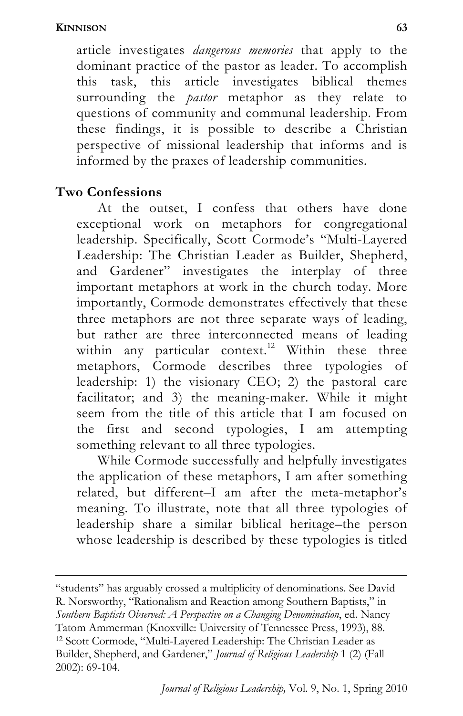article investigates *dangerous memories* that apply to the dominant practice of the pastor as leader. To accomplish this task, this article investigates biblical themes surrounding the *pastor* metaphor as they relate to questions of community and communal leadership. From these findings, it is possible to describe a Christian perspective of missional leadership that informs and is informed by the praxes of leadership communities.

# **Two Confessions**

At the outset, I confess that others have done exceptional work on metaphors for congregational leadership. Specifically, Scott Cormode's "Multi-Layered Leadership: The Christian Leader as Builder, Shepherd, and Gardener" investigates the interplay of three important metaphors at work in the church today. More importantly, Cormode demonstrates effectively that these three metaphors are not three separate ways of leading, but rather are three interconnected means of leading within any particular context.<sup>12</sup> Within these three metaphors, Cormode describes three typologies of leadership: 1) the visionary CEO; 2) the pastoral care facilitator; and 3) the meaning-maker. While it might seem from the title of this article that I am focused on the first and second typologies, I am attempting something relevant to all three typologies.

While Cormode successfully and helpfully investigates the application of these metaphors, I am after something related, but different–I am after the meta-metaphor's meaning. To illustrate, note that all three typologies of leadership share a similar biblical heritage–the person whose leadership is described by these typologies is titled

<sup>1</sup> "students" has arguably crossed a multiplicity of denominations. See David R. Norsworthy, "Rationalism and Reaction among Southern Baptists," in *Southern Baptists Observed: A Perspective on a Changing Denomination*, ed. Nancy <sup>12</sup> Scott Cormode, "Multi-Layered Leadership: The Christian Leader as Builder, Shepherd, and Gardener," *Journal of Religious Leadership* 1 (2) (Fall 2002): 69-104.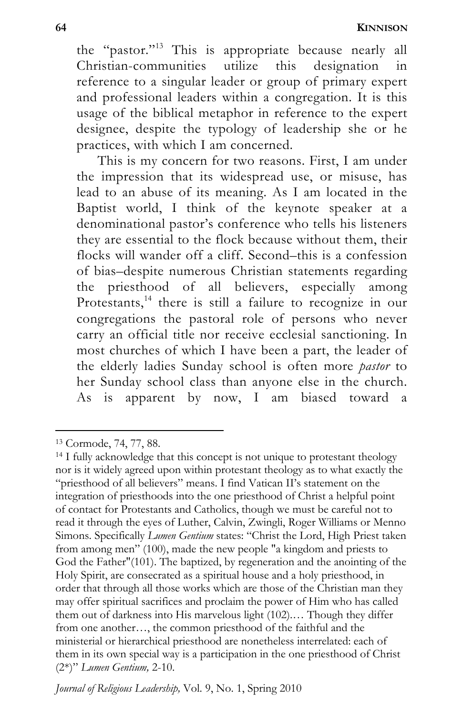**64 KINNISON**

the "pastor."13 This is appropriate because nearly all Christian-communities utilize this designation in reference to a singular leader or group of primary expert and professional leaders within a congregation. It is this usage of the biblical metaphor in reference to the expert designee, despite the typology of leadership she or he practices, with which I am concerned.

This is my concern for two reasons. First, I am under the impression that its widespread use, or misuse, has lead to an abuse of its meaning. As I am located in the Baptist world, I think of the keynote speaker at a denominational pastor's conference who tells his listeners they are essential to the flock because without them, their flocks will wander off a cliff. Second–this is a confession of bias–despite numerous Christian statements regarding the priesthood of all believers, especially among Protestants,<sup>14</sup> there is still a failure to recognize in our congregations the pastoral role of persons who never carry an official title nor receive ecclesial sanctioning. In most churches of which I have been a part, the leader of the elderly ladies Sunday school is often more *pastor* to her Sunday school class than anyone else in the church. As is apparent by now, I am biased toward a

<sup>13</sup> Cormode, 74, 77, 88.

<sup>&</sup>lt;sup>14</sup> I fully acknowledge that this concept is not unique to protestant theology nor is it widely agreed upon within protestant theology as to what exactly the "priesthood of all believers" means. I find Vatican II's statement on the integration of priesthoods into the one priesthood of Christ a helpful point of contact for Protestants and Catholics, though we must be careful not to read it through the eyes of Luther, Calvin, Zwingli, Roger Williams or Menno Simons. Specifically *Lumen Gentium* states: "Christ the Lord, High Priest taken from among men" (100), made the new people "a kingdom and priests to God the Father"(101). The baptized, by regeneration and the anointing of the Holy Spirit, are consecrated as a spiritual house and a holy priesthood, in order that through all those works which are those of the Christian man they may offer spiritual sacrifices and proclaim the power of Him who has called them out of darkness into His marvelous light (102).… Though they differ from one another…, the common priesthood of the faithful and the ministerial or hierarchical priesthood are nonetheless interrelated: each of them in its own special way is a participation in the one priesthood of Christ (2\*)" *Lumen Gentium,* 2-10.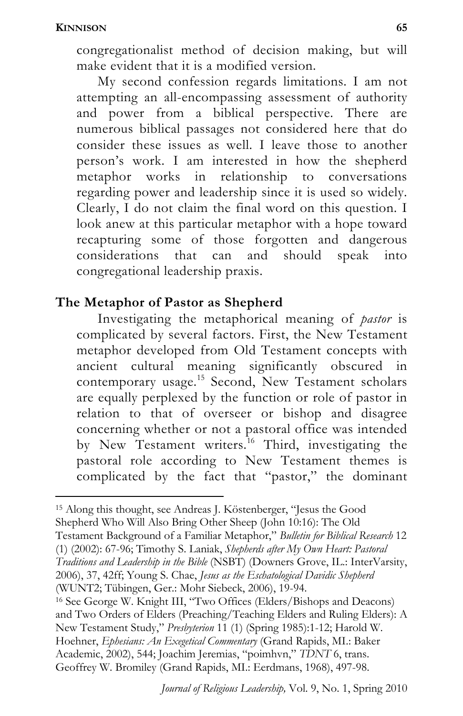congregationalist method of decision making, but will make evident that it is a modified version.

My second confession regards limitations. I am not attempting an all-encompassing assessment of authority and power from a biblical perspective. There are numerous biblical passages not considered here that do consider these issues as well. I leave those to another person's work. I am interested in how the shepherd metaphor works in relationship to conversations regarding power and leadership since it is used so widely. Clearly, I do not claim the final word on this question. I look anew at this particular metaphor with a hope toward recapturing some of those forgotten and dangerous considerations that can and should speak into congregational leadership praxis.

# **The Metaphor of Pastor as Shepherd**

Investigating the metaphorical meaning of *pastor* is complicated by several factors. First, the New Testament metaphor developed from Old Testament concepts with ancient cultural meaning significantly obscured in contemporary usage.<sup>15</sup> Second, New Testament scholars are equally perplexed by the function or role of pastor in relation to that of overseer or bishop and disagree concerning whether or not a pastoral office was intended by New Testament writers.<sup>16</sup> Third, investigating the pastoral role according to New Testament themes is complicated by the fact that "pastor," the dominant

l 15 Along this thought, see Andreas J. Köstenberger, "Jesus the Good Shepherd Who Will Also Bring Other Sheep (John 10:16): The Old

Testament Background of a Familiar Metaphor," *Bulletin for Biblical Research* 12 (1) (2002): 67-96; Timothy S. Laniak, *Shepherds after My Own Heart: Pastoral* 

*Traditions and Leadership in the Bible* (NSBT) (Downers Grove, IL.: InterVarsity, 2006), 37, 42ff; Young S. Chae, *Jesus as the Eschatological Davidic Shepherd* (WUNT2; Tübingen, Ger.: Mohr Siebeck, 2006), 19-94.

16 See George W. Knight III, "Two Offices (Elders/Bishops and Deacons) and Two Orders of Elders (Preaching/Teaching Elders and Ruling Elders): A New Testament Study," *Presbyterion* 11 (1) (Spring 1985):1-12; Harold W. Hoehner, *Ephesians: An Exegetical Commentary* (Grand Rapids, MI.: Baker Academic, 2002), 544; Joachim Jeremias, "poimhvn," *TDNT* 6, trans. Geoffrey W. Bromiley (Grand Rapids, MI.: Eerdmans, 1968), 497-98.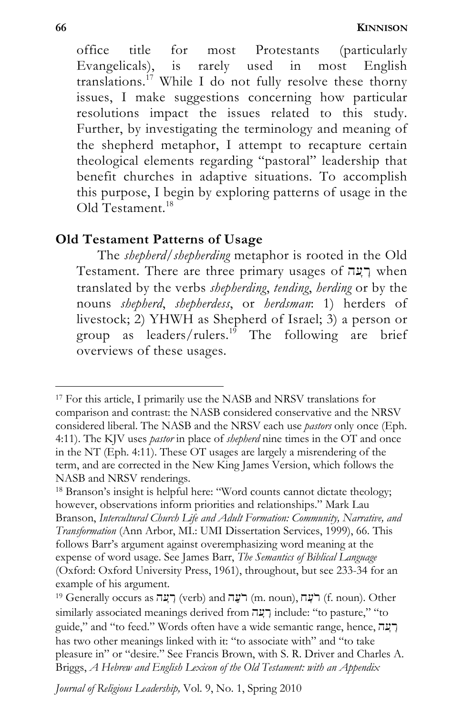office title for most Protestants (particularly Evangelicals), is rarely used in most English translations.<sup>17</sup> While I do not fully resolve these thorny issues, I make suggestions concerning how particular resolutions impact the issues related to this study. Further, by investigating the terminology and meaning of the shepherd metaphor, I attempt to recapture certain theological elements regarding "pastoral" leadership that benefit churches in adaptive situations. To accomplish this purpose, I begin by exploring patterns of usage in the Old Testament<sup>18</sup>

### **Old Testament Patterns of Usage**

The *shepherd/shepherding* metaphor is rooted in the Old Testament. There are three primary usages of רָעָה when translated by the verbs *shepherding*, *tending*, *herding* or by the nouns *shepherd*, *shepherdess*, or *herdsman*: 1) herders of livestock; 2) YHWH as Shepherd of Israel; 3) a person or group as leaders/rulers.<sup>19</sup> The following are brief overviews of these usages.

*Journal of Religious Leadership,* Vol. 9, No. 1, Spring 2010

<sup>17</sup> For this article, I primarily use the NASB and NRSV translations for comparison and contrast: the NASB considered conservative and the NRSV considered liberal. The NASB and the NRSV each use *pastors* only once (Eph. 4:11). The KJV uses *pastor* in place of *shepherd* nine times in the OT and once in the NT (Eph. 4:11). These OT usages are largely a misrendering of the term, and are corrected in the New King James Version, which follows the NASB and NRSV renderings.

<sup>18</sup> Branson's insight is helpful here: "Word counts cannot dictate theology; however, observations inform priorities and relationships." Mark Lau Branson, *Intercultural Church Life and Adult Formation: Community, Narrative, and Transformation* (Ann Arbor, MI.: UMI Dissertation Services, 1999), 66. This follows Barr's argument against overemphasizing word meaning at the expense of word usage. See James Barr, *The Semantics of Biblical Language* (Oxford: Oxford University Press, 1961), throughout, but see 233-34 for an example of his argument.

 $^{19}$  Generally occurs as רעָה (verb) and רעָה (m. noun), רעָה (f. noun). Other similarly associated meanings derived from רְעָה include: "to pasture," "to guide," and "to feed." Words often have a wide semantic range, hence, רְעָה has two other meanings linked with it: "to associate with" and "to take pleasure in" or "desire." See Francis Brown, with S. R. Driver and Charles A. Briggs, *A Hebrew and English Lexicon of the Old Testament: with an Appendix*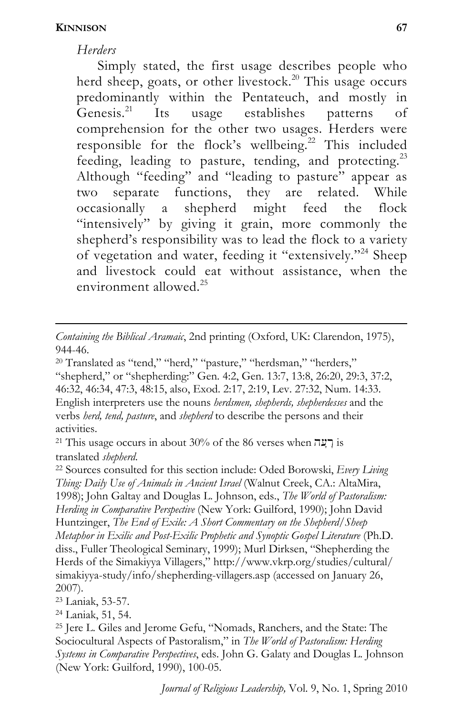1

#### *Herders*

Simply stated, the first usage describes people who herd sheep, goats, or other livestock.<sup>20</sup> This usage occurs predominantly within the Pentateuch, and mostly in<br>Genesis.<sup>21</sup> Its usage establishes patterns of Its usage establishes patterns of comprehension for the other two usages. Herders were responsible for the flock's wellbeing.<sup>22</sup> This included feeding, leading to pasture, tending, and protecting.<sup>23</sup> Although "feeding" and "leading to pasture" appear as two separate functions, they are related. While occasionally a shepherd might feed the flock "intensively" by giving it grain, more commonly the shepherd's responsibility was to lead the flock to a variety of vegetation and water, feeding it "extensively."24 Sheep and livestock could eat without assistance, when the environment allowed.25

*Containing the Biblical Aramaic*, 2nd printing (Oxford, UK: Clarendon, 1975), 944-46.

<sup>20</sup> Translated as "tend," "herd," "pasture," "herdsman," "herders," "shepherd," or "shepherding:" Gen. 4:2, Gen. 13:7, 13:8, 26:20, 29:3, 37:2, 46:32, 46:34, 47:3, 48:15, also, Exod. 2:17, 2:19, Lev. 27:32, Num. 14:33. English interpreters use the nouns *herdsmen, shepherds, shepherdesses* and the verbs *herd, tend, pasture*, and *shepherd* to describe the persons and their activities.

 $21$  This usage occurs in about 30% of the 86 verses when  $\overline{P}$  is

translated *shepherd*. 22 Sources consulted for this section include: Oded Borowski, *Every Living Thing: Daily Use of Animals in Ancient Israel* (Walnut Creek, CA.: AltaMira, 1998); John Galtay and Douglas L. Johnson, eds., *The World of Pastoralism: Herding in Comparative Perspective* (New York: Guilford, 1990); John David Huntzinger, *The End of Exile: A Short Commentary on the Shepherd/Sheep Metaphor in Exilic and Post-Exilic Prophetic and Synoptic Gospel Literature* (Ph.D. diss., Fuller Theological Seminary, 1999); Murl Dirksen, "Shepherding the Herds of the Simakiyya Villagers," http://www.vkrp.org/studies/cultural/ simakiyya-study/info/shepherding-villagers.asp (accessed on January 26, 2007).

<sup>23</sup> Laniak, 53-57.

<sup>24</sup> Laniak, 51, 54.

<sup>25</sup> Jere L. Giles and Jerome Gefu, "Nomads, Ranchers, and the State: The Sociocultural Aspects of Pastoralism," in *The World of Pastoralism: Herding Systems in Comparative Perspectives*, eds. John G. Galaty and Douglas L. Johnson (New York: Guilford, 1990), 100-05.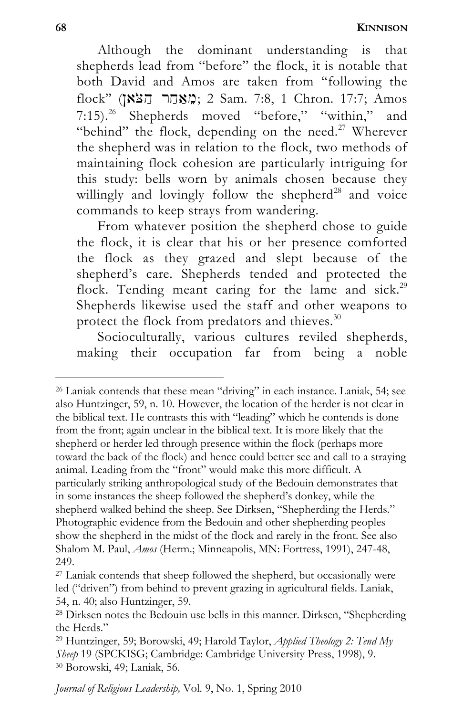Although the dominant understanding is that shepherds lead from "before" the flock, it is notable that both David and Amos are taken from "following the flock" (מְאָחָר הַצֹּא); 2 Sam. 7:8, 1 Chron. 17:7; Amos 7:15).26 Shepherds moved "before," "within," and "behind" the flock, depending on the need.<sup>27</sup> Wherever the shepherd was in relation to the flock, two methods of maintaining flock cohesion are particularly intriguing for this study: bells worn by animals chosen because they willingly and lovingly follow the shepherd<sup>28</sup> and voice commands to keep strays from wandering.

From whatever position the shepherd chose to guide the flock, it is clear that his or her presence comforted the flock as they grazed and slept because of the shepherd's care. Shepherds tended and protected the flock. Tending meant caring for the lame and sick.<sup>29</sup> Shepherds likewise used the staff and other weapons to protect the flock from predators and thieves.<sup>30</sup>

Socioculturally, various cultures reviled shepherds, making their occupation far from being a noble

<sup>26</sup> Laniak contends that these mean "driving" in each instance. Laniak, 54; see also Huntzinger, 59, n. 10. However, the location of the herder is not clear in the biblical text. He contrasts this with "leading" which he contends is done from the front; again unclear in the biblical text. It is more likely that the shepherd or herder led through presence within the flock (perhaps more toward the back of the flock) and hence could better see and call to a straying animal. Leading from the "front" would make this more difficult. A particularly striking anthropological study of the Bedouin demonstrates that in some instances the sheep followed the shepherd's donkey, while the shepherd walked behind the sheep. See Dirksen, "Shepherding the Herds." Photographic evidence from the Bedouin and other shepherding peoples show the shepherd in the midst of the flock and rarely in the front. See also Shalom M. Paul, *Amos* (Herm.; Minneapolis, MN: Fortress, 1991), 247-48, 249.

<sup>&</sup>lt;sup>27</sup> Laniak contends that sheep followed the shepherd, but occasionally were led ("driven") from behind to prevent grazing in agricultural fields. Laniak, 54, n. 40; also Huntzinger, 59.

<sup>28</sup> Dirksen notes the Bedouin use bells in this manner. Dirksen, "Shepherding the Herds."

<sup>29</sup> Huntzinger, 59; Borowski, 49; Harold Taylor, *Applied Theology 2: Tend My Sheep* 19 (SPCKISG; Cambridge: Cambridge University Press, 1998), 9. 30 Borowski, 49; Laniak, 56.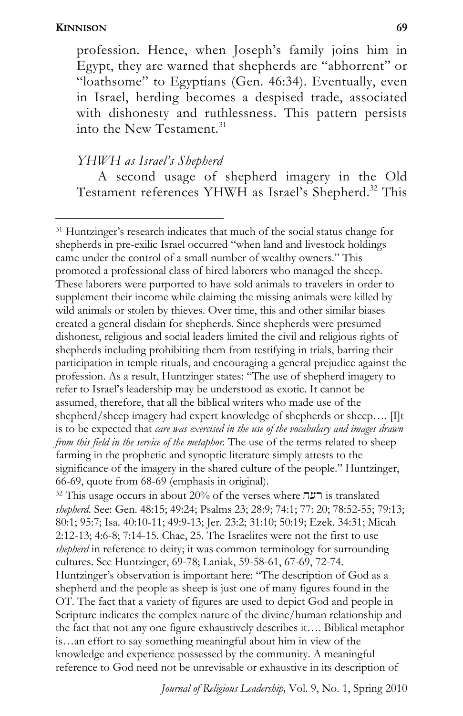l

profession. Hence, when Joseph's family joins him in Egypt, they are warned that shepherds are "abhorrent" or "loathsome" to Egyptians (Gen. 46:34). Eventually, even in Israel, herding becomes a despised trade, associated with dishonesty and ruthlessness. This pattern persists into the New Testament.<sup>31</sup>

*YHWH as Israel's Shepherd* 

A second usage of shepherd imagery in the Old Testament references YHWH as Israel's Shepherd.<sup>32</sup> This

31 Huntzinger's research indicates that much of the social status change for shepherds in pre-exilic Israel occurred "when land and livestock holdings came under the control of a small number of wealthy owners." This promoted a professional class of hired laborers who managed the sheep. These laborers were purported to have sold animals to travelers in order to supplement their income while claiming the missing animals were killed by wild animals or stolen by thieves. Over time, this and other similar biases created a general disdain for shepherds. Since shepherds were presumed dishonest, religious and social leaders limited the civil and religious rights of shepherds including prohibiting them from testifying in trials, barring their participation in temple rituals, and encouraging a general prejudice against the profession. As a result, Huntzinger states: "The use of shepherd imagery to refer to Israel's leadership may be understood as exotic. It cannot be assumed, therefore, that all the biblical writers who made use of the shepherd/sheep imagery had expert knowledge of shepherds or sheep.... [I]t is to be expected that *care was exercised in the use of the vocabulary and images drawn from this field in the service of the metaphor*. The use of the terms related to sheep farming in the prophetic and synoptic literature simply attests to the significance of the imagery in the shared culture of the people." Huntzinger, 66-69, quote from 68-69 (emphasis in original).

<sup>32</sup> This usage occurs in about 20% of the verses where  $\overline{\text{12}}$  is translated *shepherd*. See: Gen. 48:15; 49:24; Psalms 23; 28:9; 74:1; 77: 20; 78:52-55; 79:13; 80:1; 95:7; Isa. 40:10-11; 49:9-13; Jer. 23:2; 31:10; 50:19; Ezek. 34:31; Micah 2:12-13; 4:6-8; 7:14-15. Chae, 25. The Israelites were not the first to use *shepherd* in reference to deity; it was common terminology for surrounding cultures. See Huntzinger, 69-78; Laniak, 59-58-61, 67-69, 72-74. Huntzinger's observation is important here: "The description of God as a shepherd and the people as sheep is just one of many figures found in the OT. The fact that a variety of figures are used to depict God and people in Scripture indicates the complex nature of the divine/human relationship and the fact that not any one figure exhaustively describes it…. Biblical metaphor is…an effort to say something meaningful about him in view of the knowledge and experience possessed by the community. A meaningful reference to God need not be unrevisable or exhaustive in its description of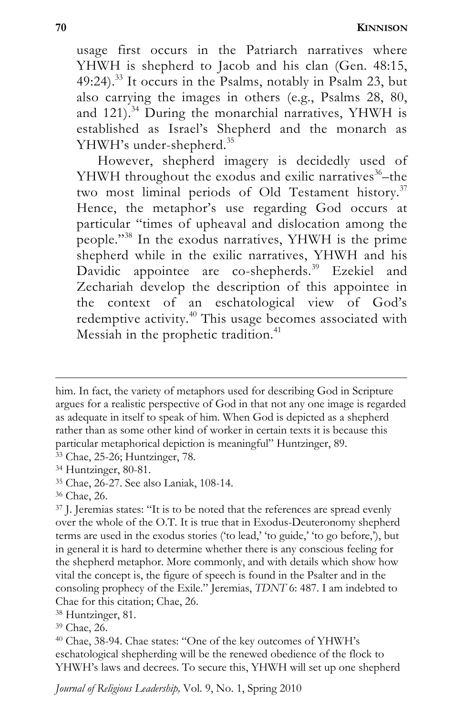usage first occurs in the Patriarch narratives where YHWH is shepherd to Jacob and his clan (Gen. 48:15,  $49:24$ <sup>33</sup> It occurs in the Psalms, notably in Psalm 23, but also carrying the images in others (e.g., Psalms 28, 80, and 121).<sup>34</sup> During the monarchial narratives, YHWH is established as Israel's Shepherd and the monarch as YHWH's under-shepherd.<sup>35</sup>

However, shepherd imagery is decidedly used of YHWH throughout the exodus and exilic narratives $36$ –the two most liminal periods of Old Testament history.<sup>37</sup> Hence, the metaphor's use regarding God occurs at particular "times of upheaval and dislocation among the people."38 In the exodus narratives, YHWH is the prime shepherd while in the exilic narratives, YHWH and his Davidic appointee are co-shepherds.<sup>39</sup> Ezekiel and Zechariah develop the description of this appointee in the context of an eschatological view of God's redemptive activity.<sup>40</sup> This usage becomes associated with Messiah in the prophetic tradition.<sup>41</sup>

him. In fact, the variety of metaphors used for describing God in Scripture argues for a realistic perspective of God in that not any one image is regarded as adequate in itself to speak of him. When God is depicted as a shepherd rather than as some other kind of worker in certain texts it is because this particular metaphorical depiction is meaningful" Huntzinger, 89. 33 Chae, 25-26; Huntzinger, 78.

<sup>34</sup> Huntzinger, 80-81.

<sup>35</sup> Chae, 26-27. See also Laniak, 108-14.

<sup>36</sup> Chae, 26.

<sup>&</sup>lt;sup>37</sup> J. Jeremias states: "It is to be noted that the references are spread evenly over the whole of the O.T. It is true that in Exodus-Deuteronomy shepherd terms are used in the exodus stories ('to lead,' 'to guide,' 'to go before,'), but in general it is hard to determine whether there is any conscious feeling for the shepherd metaphor. More commonly, and with details which show how vital the concept is, the figure of speech is found in the Psalter and in the consoling prophecy of the Exile." Jeremias, *TDNT* 6: 487. I am indebted to Chae for this citation; Chae, 26.

<sup>38</sup> Huntzinger, 81.

<sup>39</sup> Chae, 26.

<sup>40</sup> Chae, 38-94. Chae states: "One of the key outcomes of YHWH's eschatological shepherding will be the renewed obedience of the flock to YHWH's laws and decrees. To secure this, YHWH will set up one shepherd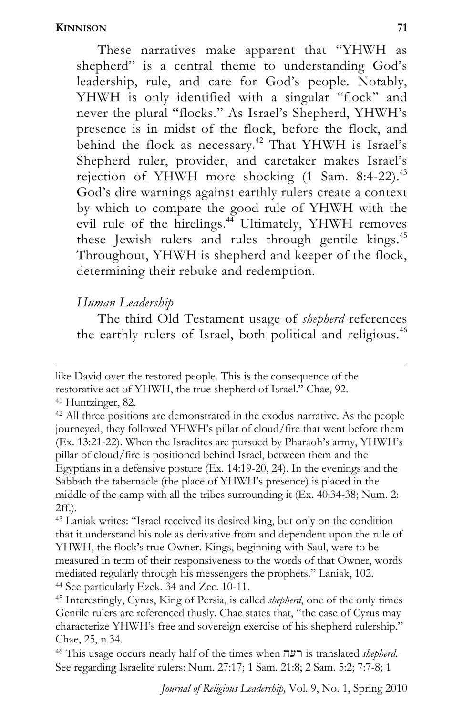These narratives make apparent that "YHWH as shepherd" is a central theme to understanding God's leadership, rule, and care for God's people. Notably, YHWH is only identified with a singular "flock" and never the plural "flocks." As Israel's Shepherd, YHWH's presence is in midst of the flock, before the flock, and behind the flock as necessary.<sup>42</sup> That YHWH is Israel's Shepherd ruler, provider, and caretaker makes Israel's rejection of YHWH more shocking  $(1 \text{ Sam. } 8:4-22).$ <sup>43</sup> God's dire warnings against earthly rulers create a context by which to compare the good rule of YHWH with the evil rule of the hirelings.<sup>44</sup> Ultimately, YHWH removes these Jewish rulers and rules through gentile kings.<sup>45</sup> Throughout, YHWH is shepherd and keeper of the flock, determining their rebuke and redemption.

### *Human Leadership*

The third Old Testament usage of *shepherd* references the earthly rulers of Israel, both political and religious.<sup>46</sup>

like David over the restored people. This is the consequence of the restorative act of YHWH, the true shepherd of Israel." Chae, 92. 41 Huntzinger, 82.

<sup>42</sup> All three positions are demonstrated in the exodus narrative. As the people journeyed, they followed YHWH's pillar of cloud/fire that went before them (Ex. 13:21-22). When the Israelites are pursued by Pharaoh's army, YHWH's pillar of cloud/fire is positioned behind Israel, between them and the Egyptians in a defensive posture (Ex. 14:19-20, 24). In the evenings and the Sabbath the tabernacle (the place of YHWH's presence) is placed in the middle of the camp with all the tribes surrounding it (Ex. 40:34-38; Num. 2: 2ff.).

<sup>43</sup> Laniak writes: "Israel received its desired king, but only on the condition that it understand his role as derivative from and dependent upon the rule of YHWH, the flock's true Owner. Kings, beginning with Saul, were to be measured in term of their responsiveness to the words of that Owner, words mediated regularly through his messengers the prophets." Laniak, 102. 44 See particularly Ezek. 34 and Zec. 10-11. 45 Interestingly, Cyrus, King of Persia, is called *shepherd*, one of the only times

Gentile rulers are referenced thusly. Chae states that, "the case of Cyrus may characterize YHWH's free and sovereign exercise of his shepherd rulership." Chae, 25, n.34.

<sup>46</sup> This usage occurs nearly half of the times when her is translated *shepherd*. See regarding Israelite rulers: Num. 27:17; 1 Sam. 21:8; 2 Sam. 5:2; 7:7-8; 1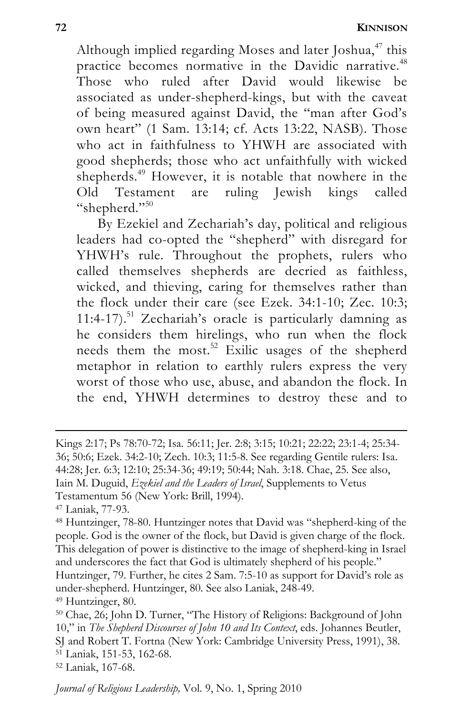Although implied regarding Moses and later Joshua, $47$  this practice becomes normative in the Davidic narrative.<sup>48</sup> Those who ruled after David would likewise be associated as under-shepherd-kings, but with the caveat of being measured against David, the "man after God's own heart" (1 Sam. 13:14; cf. Acts 13:22, NASB). Those who act in faithfulness to YHWH are associated with good shepherds; those who act unfaithfully with wicked shepherds.<sup>49</sup> However, it is notable that nowhere in the Old Testament are ruling Jewish kings called "shepherd."<sup>50</sup>

By Ezekiel and Zechariah's day, political and religious leaders had co-opted the "shepherd" with disregard for YHWH's rule. Throughout the prophets, rulers who called themselves shepherds are decried as faithless, wicked, and thieving, caring for themselves rather than the flock under their care (see Ezek. 34:1-10; Zec. 10:3;  $11:4-17$ <sup>51</sup> Zechariah's oracle is particularly damning as he considers them hirelings, who run when the flock needs them the most.<sup>52</sup> Exilic usages of the shepherd metaphor in relation to earthly rulers express the very worst of those who use, abuse, and abandon the flock. In the end, YHWH determines to destroy these and to

1

52 Laniak, 167-68.

Kings 2:17; Ps 78:70-72; Isa. 56:11; Jer. 2:8; 3:15; 10:21; 22:22; 23:1-4; 25:34- 36; 50:6; Ezek. 34:2-10; Zech. 10:3; 11:5-8. See regarding Gentile rulers: Isa. 44:28; Jer. 6:3; 12:10; 25:34-36; 49:19; 50:44; Nah. 3:18. Chae, 25. See also, Iain M. Duguid, *Ezekiel and the Leaders of Israel*, Supplements to Vetus Testamentum 56 (New York: Brill, 1994).

<sup>47</sup> Laniak, 77-93.

<sup>48</sup> Huntzinger, 78-80. Huntzinger notes that David was "shepherd-king of the people. God is the owner of the flock, but David is given charge of the flock. This delegation of power is distinctive to the image of shepherd-king in Israel and underscores the fact that God is ultimately shepherd of his people."

Huntzinger, 79. Further, he cites 2 Sam. 7:5-10 as support for David's role as under-shepherd. Huntzinger, 80. See also Laniak, 248-49. 49 Huntzinger, 80.

<sup>50</sup> Chae, 26; John D. Turner, "The History of Religions: Background of John 10," in *The Shepherd Discourses of John 10 and Its Context*, eds. Johannes Beutler, SJ and Robert T. Fortna (New York: Cambridge University Press, 1991), 38. 51 Laniak, 151-53, 162-68.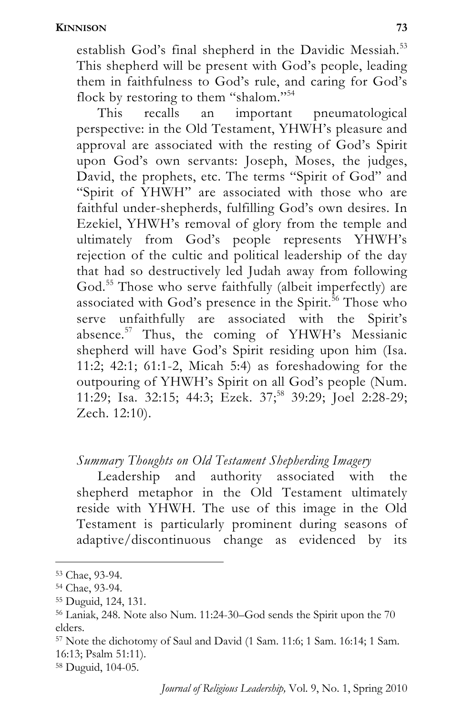establish God's final shepherd in the Davidic Messiah.<sup>53</sup> This shepherd will be present with God's people, leading them in faithfulness to God's rule, and caring for God's flock by restoring to them "shalom."<sup>54</sup>

This recalls an important pneumatological perspective: in the Old Testament, YHWH's pleasure and approval are associated with the resting of God's Spirit upon God's own servants: Joseph, Moses, the judges, David, the prophets, etc. The terms "Spirit of God" and "Spirit of YHWH" are associated with those who are faithful under-shepherds, fulfilling God's own desires. In Ezekiel, YHWH's removal of glory from the temple and ultimately from God's people represents YHWH's rejection of the cultic and political leadership of the day that had so destructively led Judah away from following God.<sup>55</sup> Those who serve faithfully (albeit imperfectly) are associated with God's presence in the Spirit.<sup>56</sup> Those who serve unfaithfully are associated with the Spirit's absence.57 Thus, the coming of YHWH's Messianic shepherd will have God's Spirit residing upon him (Isa. 11:2; 42:1; 61:1-2, Micah 5:4) as foreshadowing for the outpouring of YHWH's Spirit on all God's people (Num. 11:29; Isa. 32:15; 44:3; Ezek. 37;<sup>58</sup> 39:29; Joel 2:28-29; Zech. 12:10).

# *Summary Thoughts on Old Testament Shepherding Imagery*

Leadership and authority associated with the shepherd metaphor in the Old Testament ultimately reside with YHWH. The use of this image in the Old Testament is particularly prominent during seasons of adaptive/discontinuous change as evidenced by its

l

58 Duguid, 104-05.

<sup>53</sup> Chae, 93-94.

<sup>54</sup> Chae, 93-94.

<sup>55</sup> Duguid, 124, 131.

<sup>56</sup> Laniak, 248. Note also Num. 11:24-30–God sends the Spirit upon the 70 elders.

<sup>57</sup> Note the dichotomy of Saul and David (1 Sam. 11:6; 1 Sam. 16:14; 1 Sam. 16:13; Psalm 51:11).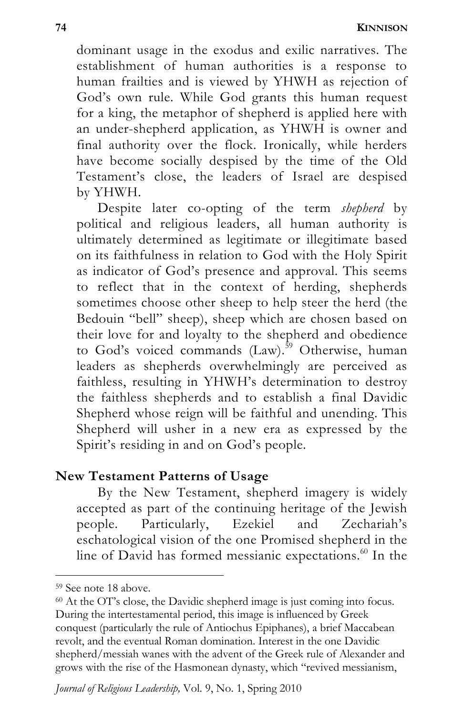**74 KINNISON**

dominant usage in the exodus and exilic narratives. The establishment of human authorities is a response to human frailties and is viewed by YHWH as rejection of God's own rule. While God grants this human request for a king, the metaphor of shepherd is applied here with an under-shepherd application, as YHWH is owner and final authority over the flock. Ironically, while herders have become socially despised by the time of the Old Testament's close, the leaders of Israel are despised by YHWH.

Despite later co-opting of the term *shepherd* by political and religious leaders, all human authority is ultimately determined as legitimate or illegitimate based on its faithfulness in relation to God with the Holy Spirit as indicator of God's presence and approval. This seems to reflect that in the context of herding, shepherds sometimes choose other sheep to help steer the herd (the Bedouin "bell" sheep), sheep which are chosen based on their love for and loyalty to the shepherd and obedience to God's voiced commands  $(Law)$ .<sup>59</sup> Otherwise, human leaders as shepherds overwhelmingly are perceived as faithless, resulting in YHWH's determination to destroy the faithless shepherds and to establish a final Davidic Shepherd whose reign will be faithful and unending. This Shepherd will usher in a new era as expressed by the Spirit's residing in and on God's people.

#### **New Testament Patterns of Usage**

By the New Testament, shepherd imagery is widely accepted as part of the continuing heritage of the Jewish people. Particularly, Ezekiel and Zechariah's eschatological vision of the one Promised shepherd in the line of David has formed messianic expectations.<sup>60</sup> In the

<sup>59</sup> See note 18 above.

<sup>60</sup> At the OT's close, the Davidic shepherd image is just coming into focus. During the intertestamental period, this image is influenced by Greek conquest (particularly the rule of Antiochus Epiphanes), a brief Maccabean revolt, and the eventual Roman domination. Interest in the one Davidic shepherd/messiah wanes with the advent of the Greek rule of Alexander and grows with the rise of the Hasmonean dynasty, which "revived messianism,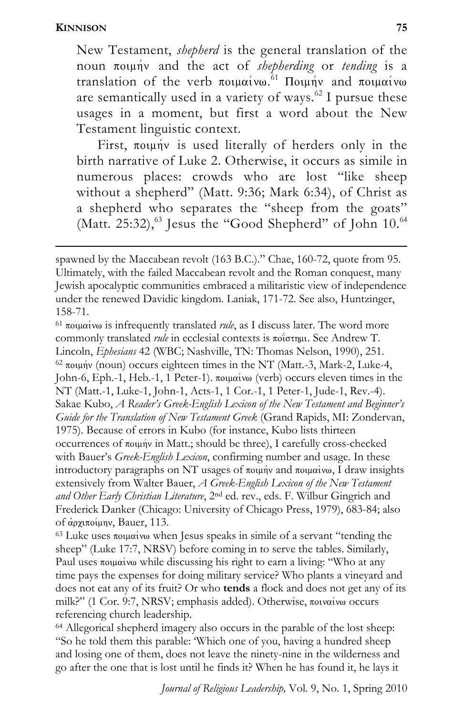1

New Testament, *shepherd* is the general translation of the noun ποιμήν and the act of *shepherding* or *tending* is a translation of the verb  $\pi$ oιμαίνω.<sup>61</sup> Ποιμήν and ποιμαίνω are semantically used in a variety of ways. $62$  I pursue these usages in a moment, but first a word about the New Testament linguistic context.

First,  $\pi$ ounv is used literally of herders only in the birth narrative of Luke 2. Otherwise, it occurs as simile in numerous places: crowds who are lost "like sheep without a shepherd" (Matt. 9:36; Mark 6:34), of Christ as a shepherd who separates the "sheep from the goats" (Matt. 25:32), $^{63}$  Jesus the "Good Shepherd" of John 10. $^{64}$ 

 $<sup>61</sup>$  ποιμαίνω is infrequently translated *rule*, as I discuss later. The word more</sup> commonly translated *rule* in ecclesial contexts is ποΐστημι. See Andrew T. Lincoln, *Ephesians* 42 (WBC; Nashville, TN: Thomas Nelson, 1990), 251.<br><sup>62</sup> ποιμήν (noun) occurs eighteen times in the NT (Matt.-3, Mark-2, Luke-4, John-6, Eph.-1, Heb.-1, 1 Peter-1).  $\pi$ ou $\alpha$ iv $\omega$  (verb) occurs eleven times in the NT (Matt.-1, Luke-1, John-1, Acts-1, 1 Cor.-1, 1 Peter-1, Jude-1, Rev.-4). Sakae Kubo, *A Reader's Greek-English Lexicon of the New Testament and Beginner's Guide for the Translation of New Testament Greek* (Grand Rapids, MI: Zondervan, 1975). Because of errors in Kubo (for instance, Kubo lists thirteen occurrences of ποιμήν in Matt.; should be three), I carefully cross-checked with Bauer's *Greek-English Lexicon*, confirming number and usage. In these introductory paragraphs on NT usages of  $\pi$ ouniv and  $\pi$ ounivo, I draw insights extensively from Walter Bauer, *A Greek-English Lexicon of the New Testament and Other Early Christian Literature*, 2nd ed. rev., eds. F. Wilbur Gingrich and Frederick Danker (Chicago: University of Chicago Press, 1979), 683-84; also

of ἀρχιποίμην, Bauer, 113.<br><sup>63</sup> Luke uses ποιμαίνω when Jesus speaks in simile of a servant "tending the sheep" (Luke 17:7, NRSV) before coming in to serve the tables. Similarly, Paul uses  $\pi$ ou $\alpha$ iv $\omega$  while discussing his right to earn a living: "Who at any time pays the expenses for doing military service? Who plants a vineyard and does not eat any of its fruit? Or who **tends** a flock and does not get any of its milk?" (1 Cor. 9:7, NRSV; emphasis added). Otherwise, ποιναίνω occurs referencing church leadership.

64 Allegorical shepherd imagery also occurs in the parable of the lost sheep: "So he told them this parable: 'Which one of you, having a hundred sheep and losing one of them, does not leave the ninety-nine in the wilderness and go after the one that is lost until he finds it? When he has found it, he lays it

spawned by the Maccabean revolt (163 B.C.)." Chae, 160-72, quote from 95. Ultimately, with the failed Maccabean revolt and the Roman conquest, many Jewish apocalyptic communities embraced a militaristic view of independence under the renewed Davidic kingdom. Laniak, 171-72. See also, Huntzinger, 158-71.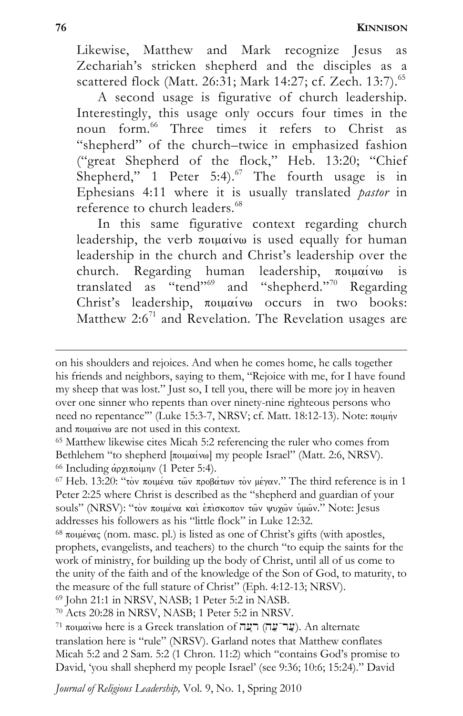Likewise, Matthew and Mark recognize Jesus as Zechariah's stricken shepherd and the disciples as a scattered flock (Matt. 26:31; Mark 14:27; cf. Zech. 13:7).<sup>65</sup>

A second usage is figurative of church leadership. Interestingly, this usage only occurs four times in the noun form.<sup>66</sup> Three times it refers to Christ as "shepherd" of the church–twice in emphasized fashion ("great Shepherd of the flock," Heb. 13:20; "Chief Shepherd," 1 Peter 5:4). $^{67}$  The fourth usage is in Ephesians 4:11 where it is usually translated *pastor* in reference to church leaders.<sup>68</sup>

In this same figurative context regarding church leadership, the verb  $\pi$ olu $\alpha$ ivo is used equally for human leadership in the church and Christ's leadership over the church. Regarding human leadership, ποιμαίνω is church. Regarding human leadership,  $\pi$ ouuaivo is translated as "tend"<sup>69</sup> and "shepherd."<sup>70</sup> Regarding Christ's leadership,  $\pi$ ouuaivo occurs in two books: Matthew  $2:6^{71}$  and Revelation. The Revelation usages are

on his shoulders and rejoices. And when he comes home, he calls together his friends and neighbors, saying to them, "Rejoice with me, for I have found my sheep that was lost." Just so, I tell you, there will be more joy in heaven over one sinner who repents than over ninety-nine righteous persons who need no repentance"" (Luke 15:3-7, NRSV; cf. Matt. 18:12-13). Note: ποιμήν and ποιμαίνω are not used in this context.<br><sup>65</sup> Matthew likewise cites Micah 5:2 referencing the ruler who comes from

Bethlehem "to shepherd [ποιμαίνω] my people Israel" (Matt. 2:6, NRSV).<br><sup>66</sup> Including αρχιποίμην (1 Peter 5:4).<br><sup>67</sup> Heb. 13:20: "τον ποιμένα των προβάτων τον μέγαν." The third reference is in 1

Peter 2:25 where Christ is described as the "shepherd and guardian of your souls" (NRSV): "τὸν ποιμένα και επισκοπον τῶν ψυχῶν ὑμῶν." Note: Jesus addresses his followers as his "little flock" in Luke 12:32.<br><sup>68</sup>  $\pi$ οψένας (nom. masc. pl.) is listed as one of Christ's gifts (with apostles,

prophets, evangelists, and teachers) to the church "to equip the saints for the work of ministry, for building up the body of Christ, until all of us come to the unity of the faith and of the knowledge of the Son of God, to maturity, to the measure of the full stature of Christ" (Eph. 4:12-13; NRSV). <sup>69</sup> John 21:1 in NRSV, NASB; 1 Peter 5:2 in NASB.

 $70$  Acts 20:28 in NRSV, NASB; 1 Peter 5:2 in NRSV.<br><sup>71</sup> ποιμαίνω here is a Greek translation of (עֲר־עֲה). An alternate translation here is "rule" (NRSV). Garland notes that Matthew conflates Micah 5:2 and 2 Sam. 5:2 (1 Chron. 11:2) which "contains God's promise to David, 'you shall shepherd my people Israel' (see 9:36; 10:6; 15:24)." David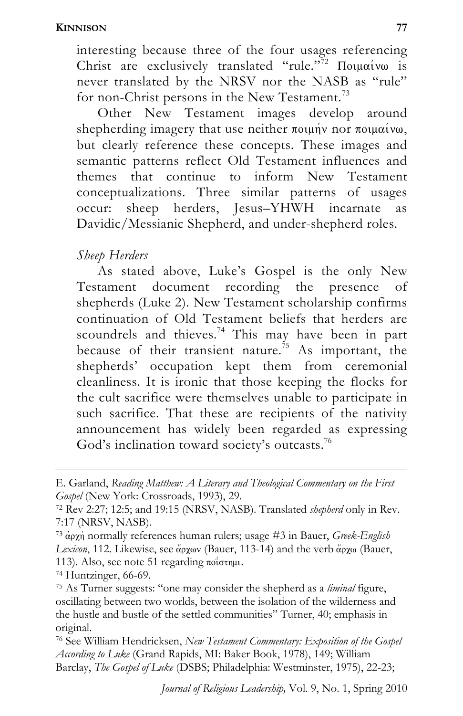interesting because three of the four usages referencing Christ are exclusively translated "rule."<sup>72</sup>  $\pi$ Oiu $\alpha$ ivo is never translated by the NRSV nor the NASB as "rule" for non-Christ persons in the New Testament.<sup>73</sup>

Other New Testament images develop around shepherding imagery that use neither  $\pi$ ounn's nor  $\pi$ ounn's but clearly reference these concepts. These images and semantic patterns reflect Old Testament influences and themes that continue to inform New Testament conceptualizations. Three similar patterns of usages occur: sheep herders, Jesus–YHWH incarnate as Davidic/Messianic Shepherd, and under-shepherd roles.

# *Sheep Herders*

As stated above, Luke's Gospel is the only New Testament document recording the presence of shepherds (Luke 2). New Testament scholarship confirms continuation of Old Testament beliefs that herders are scoundrels and thieves.<sup>74</sup> This may have been in part because of their transient nature.<sup>75</sup> As important, the shepherds' occupation kept them from ceremonial cleanliness. It is ironic that those keeping the flocks for the cult sacrifice were themselves unable to participate in such sacrifice. That these are recipients of the nativity announcement has widely been regarded as expressing God's inclination toward society's outcasts.<sup>76</sup>

E. Garland, *Reading Matthew: A Literary and Theological Commentary on the First Gospel* (New York: Crossroads, 1993), 29.<br><sup>72</sup> Rev 2:27; 12:5; and 19:15 (NRSV, NASB). Translated *shepherd* only in Rev.

<sup>7:17 (</sup>NRSV, NASB).

<sup>&</sup>lt;sup>73</sup> αρχή normally references human rulers; usage #3 in Bauer, *Greek-English* Lexicon, 112. Likewise, see  $\overset{\sim}{\alpha}$  pxwv (Bauer, 113-14) and the verb  $\overset{\sim}{\alpha}$  pxw (Bauer, 113). Also, see note 51 regarding ποΐστημι.<br><sup>74</sup> Huntzinger, 66-69.

<sup>75</sup> As Turner suggests: "one may consider the shepherd as a *liminal* figure, oscillating between two worlds, between the isolation of the wilderness and the hustle and bustle of the settled communities" Turner, 40; emphasis in original.

<sup>76</sup> See William Hendricksen, *New Testament Commentary: Exposition of the Gospel According to Luke* (Grand Rapids, MI: Baker Book, 1978), 149; William Barclay, *The Gospel of Luke* (DSBS; Philadelphia: Westminster, 1975), 22-23;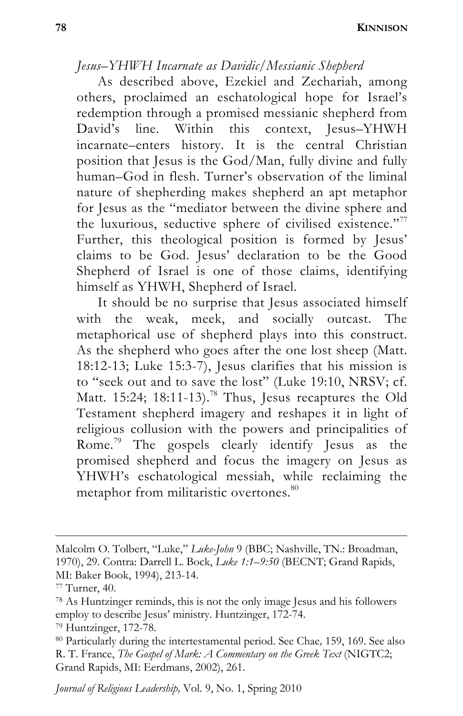### *Jesus–YHWH Incarnate as Davidic/Messianic Shepherd*

As described above, Ezekiel and Zechariah, among others, proclaimed an eschatological hope for Israel's redemption through a promised messianic shepherd from David's line. Within this context, Jesus–YHWH incarnate–enters history. It is the central Christian position that Jesus is the God/Man, fully divine and fully human–God in flesh. Turner's observation of the liminal nature of shepherding makes shepherd an apt metaphor for Jesus as the "mediator between the divine sphere and the luxurious, seductive sphere of civilised existence."<sup>77</sup> Further, this theological position is formed by Jesus' claims to be God. Jesus' declaration to be the Good Shepherd of Israel is one of those claims, identifying himself as YHWH, Shepherd of Israel.

It should be no surprise that Jesus associated himself with the weak, meek, and socially outcast. The metaphorical use of shepherd plays into this construct. As the shepherd who goes after the one lost sheep (Matt. 18:12-13; Luke 15:3-7), Jesus clarifies that his mission is to "seek out and to save the lost" (Luke 19:10, NRSV; cf. Matt. 15:24; 18:11-13).<sup>78</sup> Thus, Jesus recaptures the Old Testament shepherd imagery and reshapes it in light of religious collusion with the powers and principalities of Rome.79 The gospels clearly identify Jesus as the promised shepherd and focus the imagery on Jesus as YHWH's eschatological messiah, while reclaiming the metaphor from militaristic overtones.<sup>80</sup>

Malcolm O. Tolbert, "Luke," *Luke-John* 9 (BBC; Nashville, TN.: Broadman, 1970), 29. Contra: Darrell L. Bock, *Luke 1:1–9:50* (BECNT; Grand Rapids, MI: Baker Book, 1994), 213-14.

<sup>77</sup> Turner, 40.

<sup>78</sup> As Huntzinger reminds, this is not the only image Jesus and his followers employ to describe Jesus' ministry. Huntzinger, 172-74. 79 Huntzinger, 172-78.

<sup>80</sup> Particularly during the intertestamental period. See Chae*,* 159, 169. See also R. T. France, *The Gospel of Mark: A Commentary on the Greek Text* (NIGTC2; Grand Rapids, MI: Eerdmans, 2002), 261.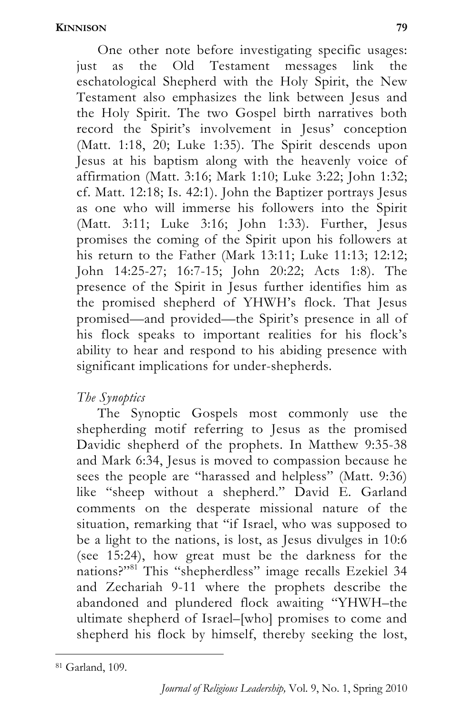One other note before investigating specific usages: just as the Old Testament messages link the eschatological Shepherd with the Holy Spirit, the New Testament also emphasizes the link between Jesus and the Holy Spirit. The two Gospel birth narratives both record the Spirit's involvement in Jesus' conception (Matt. 1:18, 20; Luke 1:35). The Spirit descends upon Jesus at his baptism along with the heavenly voice of affirmation (Matt. 3:16; Mark 1:10; Luke 3:22; John 1:32; cf. Matt. 12:18; Is. 42:1). John the Baptizer portrays Jesus as one who will immerse his followers into the Spirit (Matt. 3:11; Luke 3:16; John 1:33). Further, Jesus promises the coming of the Spirit upon his followers at his return to the Father (Mark 13:11; Luke 11:13; 12:12; John 14:25-27; 16:7-15; John 20:22; Acts 1:8). The presence of the Spirit in Jesus further identifies him as the promised shepherd of YHWH's flock. That Jesus promised—and provided—the Spirit's presence in all of his flock speaks to important realities for his flock's ability to hear and respond to his abiding presence with significant implications for under-shepherds.

# *The Synoptics*

The Synoptic Gospels most commonly use the shepherding motif referring to Jesus as the promised Davidic shepherd of the prophets. In Matthew 9:35-38 and Mark 6:34, Jesus is moved to compassion because he sees the people are "harassed and helpless" (Matt. 9:36) like "sheep without a shepherd." David E. Garland comments on the desperate missional nature of the situation, remarking that "if Israel, who was supposed to be a light to the nations, is lost, as Jesus divulges in 10:6 (see 15:24), how great must be the darkness for the nations?"<sup>81</sup> This "shepherdless" image recalls Ezekiel 34 and Zechariah 9-11 where the prophets describe the abandoned and plundered flock awaiting "YHWH–the ultimate shepherd of Israel–[who] promises to come and shepherd his flock by himself, thereby seeking the lost,

l 81 Garland, 109.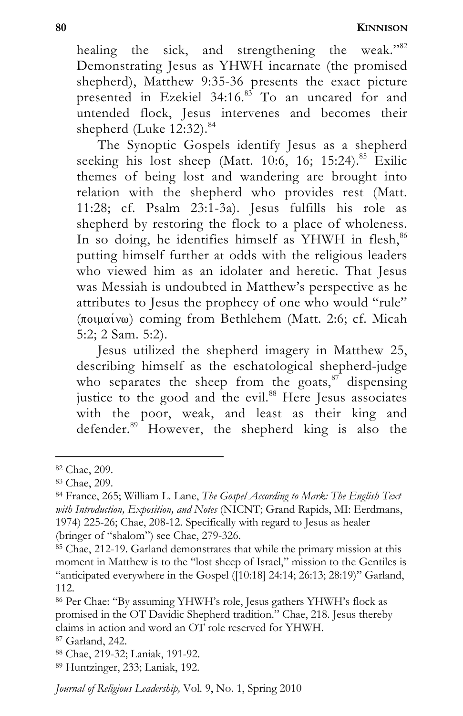healing the sick, and strengthening the weak."<sup>82</sup> Demonstrating Jesus as YHWH incarnate (the promised shepherd), Matthew 9:35-36 presents the exact picture presented in Ezekiel 34:16.85 To an uncared for and untended flock, Jesus intervenes and becomes their shepherd (Luke  $12:32$ ).<sup>84</sup>

The Synoptic Gospels identify Jesus as a shepherd seeking his lost sheep (Matt.  $10:6$ ,  $16$ ;  $15:24$ ).<sup>85</sup> Exilic themes of being lost and wandering are brought into relation with the shepherd who provides rest (Matt. 11:28; cf. Psalm 23:1-3a). Jesus fulfills his role as shepherd by restoring the flock to a place of wholeness. In so doing, he identifies himself as YHWH in flesh, $86$ putting himself further at odds with the religious leaders who viewed him as an idolater and heretic. That Jesus was Messiah is undoubted in Matthew's perspective as he attributes to Jesus the prophecy of one who would "rule"  $(\pi \circ \mu \alpha \circ \nu)$  coming from Bethlehem (Matt. 2:6; cf. Micah 5:2; 2 Sam. 5:2).

Jesus utilized the shepherd imagery in Matthew 25, describing himself as the eschatological shepherd-judge who separates the sheep from the goats, $87$  dispensing justice to the good and the evil.<sup>88</sup> Here Jesus associates with the poor, weak, and least as their king and defender. $89$  However, the shepherd king is also the

<sup>82</sup> Chae, 209.

<sup>83</sup> Chae, 209.

<sup>84</sup> France, 265; William L. Lane, *The Gospel According to Mark: The English Text with Introduction, Exposition, and Notes* (NICNT; Grand Rapids, MI: Eerdmans, 1974) 225-26; Chae, 208-12. Specifically with regard to Jesus as healer (bringer of "shalom") see Chae, 279-326.

<sup>&</sup>lt;sup>85</sup> Chae, 212-19. Garland demonstrates that while the primary mission at this moment in Matthew is to the "lost sheep of Israel," mission to the Gentiles is "anticipated everywhere in the Gospel  $(10:18]$  24:14; 26:13; 28:19)" Garland, 112.

<sup>86</sup> Per Chae: "By assuming YHWH's role, Jesus gathers YHWH's flock as promised in the OT Davidic Shepherd tradition." Chae, 218. Jesus thereby claims in action and word an OT role reserved for YHWH.

<sup>87</sup> Garland, 242.

<sup>88</sup> Chae, 219-32; Laniak, 191-92.

<sup>89</sup> Huntzinger, 233; Laniak, 192.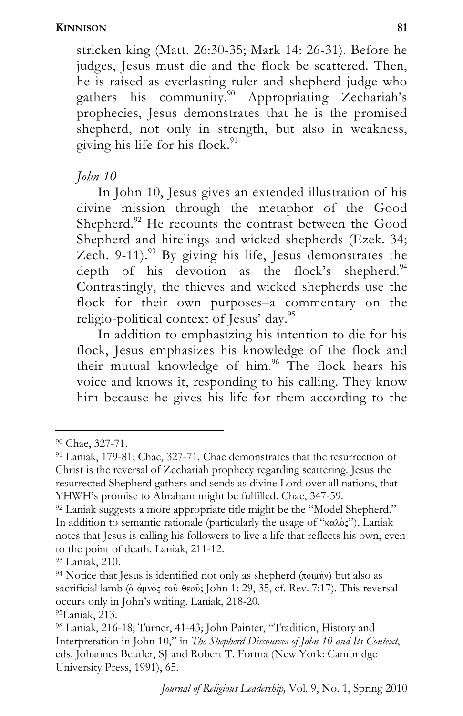stricken king (Matt. 26:30-35; Mark 14: 26-31). Before he judges, Jesus must die and the flock be scattered. Then, he is raised as everlasting ruler and shepherd judge who gathers his community.<sup>90</sup> Appropriating Zechariah's prophecies, Jesus demonstrates that he is the promised shepherd, not only in strength, but also in weakness, giving his life for his flock. $91$ 

# *John 10*

In John 10, Jesus gives an extended illustration of his divine mission through the metaphor of the Good Shepherd.<sup>92</sup> He recounts the contrast between the Good Shepherd and hirelings and wicked shepherds (Ezek. 34; Zech. 9-11).<sup>93</sup> By giving his life, Jesus demonstrates the depth of his devotion as the flock's shepherd. $94$ Contrastingly, the thieves and wicked shepherds use the flock for their own purposes–a commentary on the religio-political context of Jesus' day.<sup>95</sup>

In addition to emphasizing his intention to die for his flock, Jesus emphasizes his knowledge of the flock and their mutual knowledge of him.<sup>96</sup> The flock hears his voice and knows it, responding to his calling. They know him because he gives his life for them according to the

<sup>90</sup> Chae, 327-71.

<sup>91</sup> Laniak, 179-81; Chae, 327-71. Chae demonstrates that the resurrection of Christ is the reversal of Zechariah prophecy regarding scattering. Jesus the resurrected Shepherd gathers and sends as divine Lord over all nations, that YHWH's promise to Abraham might be fulfilled. Chae, 347-59.

<sup>&</sup>lt;sup>92</sup> Laniak suggests a more appropriate title might be the "Model Shepherd." In addition to semantic rationale (particularly the usage of " $\kappa \alpha \lambda_0$ "), Laniak notes that Jesus is calling his followers to live a life that reflects his own, even to the point of death. Laniak, 211-12.

<sup>93</sup> Laniak, 210.

<sup>&</sup>lt;sup>94</sup> Notice that Jesus is identified not only as shepherd ( $\pi$ ounn) but also as sacrificial lamb ( $\delta$  αμνος του θεου; John 1: 29, 35, cf. Rev. 7:17). This reversal occurs only in John's writing. Laniak, 218-20.

<sup>95</sup>Laniak, 213.

<sup>96</sup> Laniak, 216-18; Turner, 41-43; John Painter, "Tradition, History and Interpretation in John 10," in *The Shepherd Discourses of John 10 and Its Context*, eds. Johannes Beutler, SJ and Robert T. Fortna (New York: Cambridge University Press, 1991), 65.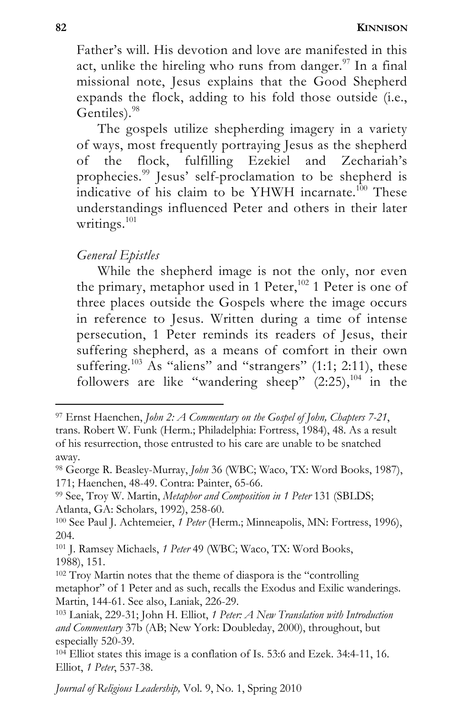Father's will. His devotion and love are manifested in this act, unlike the hireling who runs from danger.<sup>97</sup> In a final missional note, Jesus explains that the Good Shepherd expands the flock, adding to his fold those outside (i.e., Gentiles).<sup>98</sup>

The gospels utilize shepherding imagery in a variety of ways, most frequently portraying Jesus as the shepherd of the flock, fulfilling Ezekiel and Zechariah's prophecies.<sup>99</sup> Jesus' self-proclamation to be shepherd is indicative of his claim to be YHWH incarnate.<sup>100</sup> These understandings influenced Peter and others in their later writings.<sup>101</sup>

### *General Epistles*

While the shepherd image is not the only, nor even the primary, metaphor used in 1 Peter,<sup>102</sup> 1 Peter is one of three places outside the Gospels where the image occurs in reference to Jesus. Written during a time of intense persecution, 1 Peter reminds its readers of Jesus, their suffering shepherd, as a means of comfort in their own suffering.<sup>103</sup> As "aliens" and "strangers" (1:1; 2:11), these followers are like "wandering sheep"  $(2.25)$ ,<sup>104</sup> in the

<sup>97</sup> Ernst Haenchen, *John 2: A Commentary on the Gospel of John, Chapters 7-21*, trans. Robert W. Funk (Herm.; Philadelphia: Fortress, 1984), 48. As a result of his resurrection, those entrusted to his care are unable to be snatched away.

<sup>98</sup> George R. Beasley-Murray, *John* 36 (WBC; Waco, TX: Word Books, 1987), 171; Haenchen, 48-49. Contra: Painter, 65-66.

<sup>99</sup> See, Troy W. Martin, *Metaphor and Composition in 1 Peter* 131 (SBLDS; Atlanta, GA: Scholars, 1992), 258-60.

<sup>100</sup> See Paul J. Achtemeier, *1 Peter* (Herm.; Minneapolis, MN: Fortress, 1996), 204.

<sup>101</sup> J. Ramsey Michaels, *1 Peter* 49 (WBC; Waco, TX: Word Books, 1988), 151.

<sup>102</sup> Troy Martin notes that the theme of diaspora is the "controlling metaphor" of 1 Peter and as such, recalls the Exodus and Exilic wanderings. Martin, 144-61. See also, Laniak, 226-29.

<sup>103</sup> Laniak, 229-31; John H. Elliot, *1 Peter: A New Translation with Introduction and Commentary* 37b (AB; New York: Doubleday, 2000), throughout, but especially 520-39.

<sup>104</sup> Elliot states this image is a conflation of Is. 53:6 and Ezek. 34:4-11, 16. Elliot, *1 Peter*, 537-38.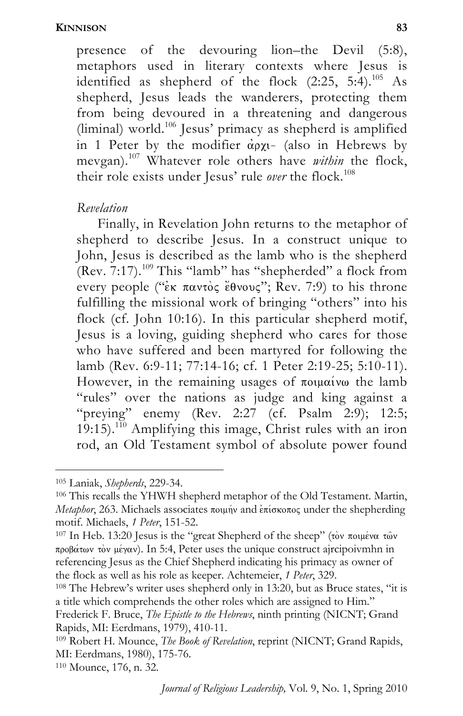presence of the devouring lion–the Devil (5:8), metaphors used in literary contexts where Jesus is identified as shepherd of the flock  $(2:25, 5:4).^{105}$  As shepherd, Jesus leads the wanderers, protecting them from being devoured in a threatening and dangerous (liminal) world.<sup>106</sup> Jesus' primacy as shepherd is amplified in 1 Peter by the modifier  $\alpha \rho \chi$ - (also in Hebrews by mevgan).107 Whatever role others have *within* the flock, their role exists under Jesus' rule over the flock.<sup>108</sup>

#### *Revelation*

Finally, in Revelation John returns to the metaphor of shepherd to describe Jesus. In a construct unique to John, Jesus is described as the lamb who is the shepherd  $(Rev. 7:17).$ <sup>109</sup> This "lamb" has "shepherded" a flock from every people (" $\varepsilon$ к παντός  $\varepsilon$ θνους"; Rev. 7:9) to his throne fulfilling the missional work of bringing "others" into his flock (cf. John 10:16). In this particular shepherd motif, Jesus is a loving, guiding shepherd who cares for those who have suffered and been martyred for following the lamb (Rev. 6:9-11; 77:14-16; cf. 1 Peter 2:19-25; 5:10-11). However, in the remaining usages of  $\pi$ olu $\alpha$  ive the lamb "rules" over the nations as judge and king against a "preying" enemy (Rev. 2:27 (cf. Psalm 2:9); 12:5; 19:15).<sup>110</sup> Amplifying this image, Christ rules with an iron rod, an Old Testament symbol of absolute power found

l

110 Mounce, 176, n. 32.

<sup>&</sup>lt;sup>105</sup> Laniak, *Shepherds*, 229-34.<br><sup>106</sup> This recalls the YHWH shepherd metaphor of the Old Testament. Martin, *Metaphor*, 263. Michaels associates ποιμήν and επίσκοπος under the shepherding motif. Michaels, *1 Peter*, 151-52.<br><sup>107</sup> In Heb. 13:20 Jesus is the "great Shepherd of the sheep" (τὸν ποιμένα τῶν

 $\pi \rho \beta \alpha \tau \omega v$  to  $\mu \epsilon \gamma \alpha v$ ). In 5:4, Peter uses the unique construct ajrcipoivmhn in referencing Jesus as the Chief Shepherd indicating his primacy as owner of the flock as well as his role as keeper. Achtemeier, *1 Peter*, 329.<br><sup>108</sup> The Hebrew's writer uses shepherd only in 13:20, but as Bruce states, "it is

a title which comprehends the other roles which are assigned to Him." Frederick F. Bruce, *The Epistle to the Hebrews*, ninth printing (NICNT; Grand Rapids, MI: Eerdmans, 1979), 410-11.

<sup>109</sup> Robert H. Mounce, *The Book of Revelation*, reprint (NICNT; Grand Rapids, MI: Eerdmans, 1980), 175-76.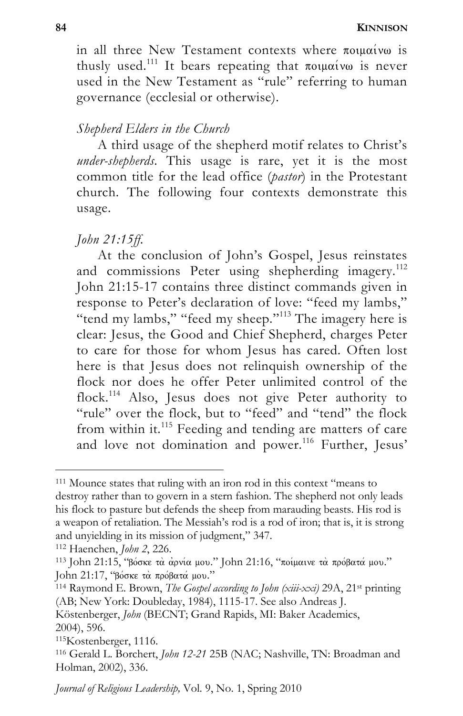in all three New Testament contexts where  $\pi$ ouu $\alpha$ ivo is thusly used.<sup>111</sup> It bears repeating that  $\pi$ olu $\alpha$ iv $\omega$  is never used in the New Testament as "rule" referring to human governance (ecclesial or otherwise).

### *Shepherd Elders in the Church*

A third usage of the shepherd motif relates to Christ's *under-shepherds*. This usage is rare, yet it is the most common title for the lead office (*pastor*) in the Protestant church. The following four contexts demonstrate this usage.

### *John 21:15ff.*

At the conclusion of John's Gospel, Jesus reinstates and commissions Peter using shepherding imagery.<sup>112</sup> John 21:15-17 contains three distinct commands given in response to Peter's declaration of love: "feed my lambs," "tend my lambs," "feed my sheep."<sup>113</sup> The imagery here is clear: Jesus, the Good and Chief Shepherd, charges Peter to care for those for whom Jesus has cared. Often lost here is that Jesus does not relinquish ownership of the flock nor does he offer Peter unlimited control of the flock.<sup>114</sup> Also, Jesus does not give Peter authority to "rule" over the flock, but to "feed" and "tend" the flock from within it.<sup>115</sup> Feeding and tending are matters of care and love not domination and power.<sup>116</sup> Further, Jesus'

<sup>111</sup> Mounce states that ruling with an iron rod in this context "means to destroy rather than to govern in a stern fashion. The shepherd not only leads his flock to pasture but defends the sheep from marauding beasts. His rod is a weapon of retaliation. The Messiah's rod is a rod of iron; that is, it is strong and unyielding in its mission of judgment," 347.<br><sup>112</sup> Haenchen, *John 2*, 226.<br><sup>113</sup> John 21:15, "βόσκε τὰ ἀρνία μου." John 21:16, "ποίμαινε τὰ πρόβατά μου."

John 21:17, "βόσκε τα πρόβατά μου."<br><sup>114</sup> Raymond E. Brown, *The Gospel according to John (xiii-xxi)* 29A, 21<sup>st</sup> printing

<sup>(</sup>AB; New York: Doubleday, 1984), 1115-17. See also Andreas J.

Köstenberger, *John* (BECNT; Grand Rapids, MI: Baker Academics, 2004), 596.

<sup>&</sup>lt;sup>115</sup>Kostenberger, 1116.<br><sup>116</sup> Gerald L. Borchert, *John 12-21* 25B (NAC; Nashville, TN: Broadman and Holman, 2002), 336.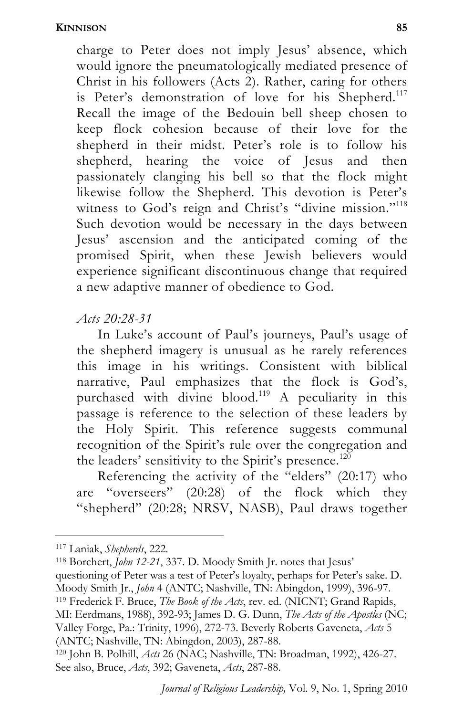charge to Peter does not imply Jesus' absence, which would ignore the pneumatologically mediated presence of Christ in his followers (Acts 2). Rather, caring for others is Peter's demonstration of love for his Shepherd.<sup>117</sup> Recall the image of the Bedouin bell sheep chosen to keep flock cohesion because of their love for the shepherd in their midst. Peter's role is to follow his shepherd, hearing the voice of Jesus and then passionately clanging his bell so that the flock might likewise follow the Shepherd. This devotion is Peter's witness to God's reign and Christ's "divine mission."<sup>118</sup> Such devotion would be necessary in the days between Jesus' ascension and the anticipated coming of the promised Spirit, when these Jewish believers would experience significant discontinuous change that required a new adaptive manner of obedience to God.

### *Acts 20:28-31*

In Luke's account of Paul's journeys, Paul's usage of the shepherd imagery is unusual as he rarely references this image in his writings. Consistent with biblical narrative, Paul emphasizes that the flock is God's, purchased with divine blood.<sup>119</sup> A peculiarity in this passage is reference to the selection of these leaders by the Holy Spirit. This reference suggests communal recognition of the Spirit's rule over the congregation and the leaders' sensitivity to the Spirit's presence.<sup>120</sup>

Referencing the activity of the "elders" (20:17) who are "overseers" (20:28) of the flock which they "shepherd" (20:28; NRSV, NASB), Paul draws together

l

<sup>117</sup> Laniak, *Shepherds*, 222.<br><sup>118</sup> Borchert, *John 12-21*, 337. D. Moody Smith Jr. notes that Jesus'

<sup>119</sup> Frederick F. Bruce, *The Book of the Acts*, rev. ed. (NICNT; Grand Rapids,

<sup>120</sup> John B. Polhill, *Acts* 26 (NAC; Nashville, TN: Broadman, 1992), 426-27. See also, Bruce, *Acts*, 392; Gaveneta, *Acts*, 287-88.

questioning of Peter was a test of Peter's loyalty, perhaps for Peter's sake. D.<br>Moody Smith Jr., John 4 (ANTC; Nashville, TN: Abingdon, 1999), 396-97.

MI: Eerdmans, 1988), 392-93; James D. G. Dunn, *The Acts of the Apostles* (NC; Valley Forge, Pa.: Trinity, 1996), 272-73. Beverly Roberts Gaveneta, *Acts* 5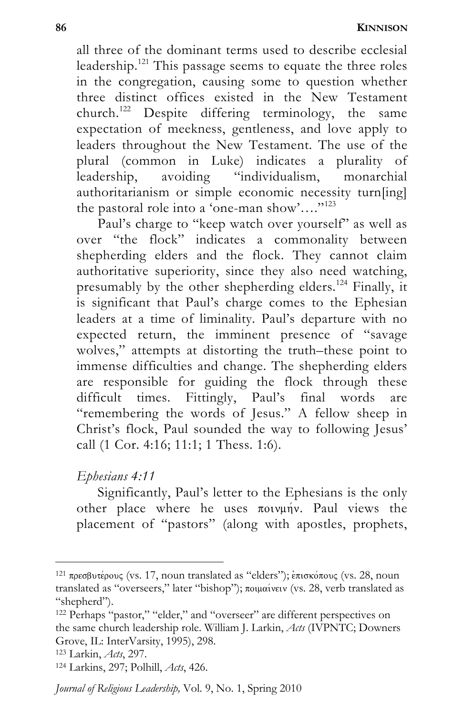all three of the dominant terms used to describe ecclesial leadership.<sup>121</sup> This passage seems to equate the three roles in the congregation, causing some to question whether three distinct offices existed in the New Testament church.<sup>122</sup> Despite differing terminology, the same expectation of meekness, gentleness, and love apply to leaders throughout the New Testament. The use of the plural (common in Luke) indicates a plurality of leadership, avoiding "individualism, monarchial authoritarianism or simple economic necessity turn[ing] the pastoral role into a 'one-man show'…."123

Paul's charge to "keep watch over yourself" as well as over "the flock" indicates a commonality between shepherding elders and the flock. They cannot claim authoritative superiority, since they also need watching, presumably by the other shepherding elders.<sup>124</sup> Finally, it is significant that Paul's charge comes to the Ephesian leaders at a time of liminality. Paul's departure with no expected return, the imminent presence of "savage wolves," attempts at distorting the truth–these point to immense difficulties and change. The shepherding elders are responsible for guiding the flock through these difficult times. Fittingly, Paul's final words are "remembering the words of Jesus." A fellow sheep in Christ's flock, Paul sounded the way to following Jesus' call (1 Cor. 4:16; 11:1; 1 Thess. 1:6).

# *Ephesians 4:11*

Significantly, Paul's letter to the Ephesians is the only other place where he uses  $\pi$ oivunv. Paul views the placement of "pastors" (along with apostles, prophets,

 $121$  πρεσβυτέρους (vs. 17, noun translated as "elders"); επισκόπους (vs. 28, noun translated as "overseers," later "bishop"); ποιμαίνειν (vs. 28, verb translated as "shepherd").

<sup>&</sup>lt;sup>122</sup> Perhaps "pastor," "elder," and "overseer" are different perspectives on the same church leadership role. William J. Larkin, *Acts* (IVPNTC; Downers Grove, IL: InterVarsity, 1995), 298.

<sup>123</sup> Larkin, *Acts*, 297. 124 Larkins, 297; Polhill, *Acts*, 426.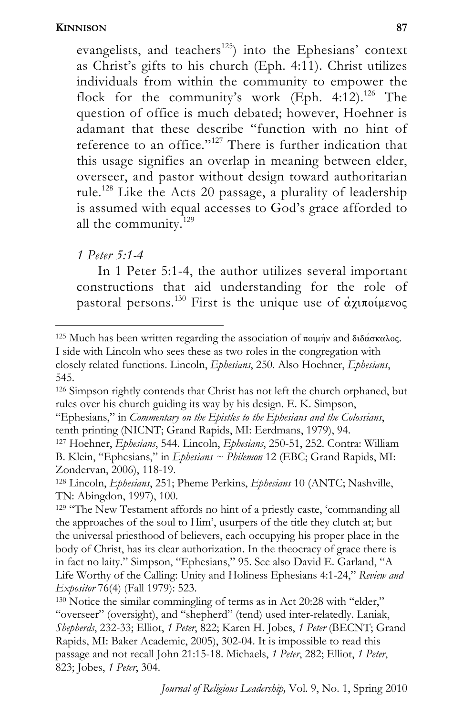evangelists, and teachers<sup>125</sup>) into the Ephesians' context as Christ's gifts to his church (Eph. 4:11). Christ utilizes individuals from within the community to empower the flock for the community's work (Eph. 4:12).<sup>126</sup> The question of office is much debated; however, Hoehner is adamant that these describe "function with no hint of reference to an office."<sup>127</sup> There is further indication that this usage signifies an overlap in meaning between elder, overseer, and pastor without design toward authoritarian rule.<sup>128</sup> Like the Acts 20 passage, a plurality of leadership is assumed with equal accesses to God's grace afforded to all the community.<sup>129</sup>

*1 Peter 5:1-4* 

l

In 1 Peter 5:1-4, the author utilizes several important constructions that aid understanding for the role of pastoral persons.<sup>130</sup> First is the unique use of  $\alpha \chi \pi \sigma \gamma \mu \epsilon \nu \sigma \zeta$ 

126 Simpson rightly contends that Christ has not left the church orphaned, but rules over his church guiding its way by his design. E. K. Simpson,

<sup>127</sup> Hoehner, *Ephesians*, 544. Lincoln, *Ephesians*, 250-51, 252. Contra: William B. Klein, "Ephesians," in *Ephesians ~ Philemon* 12 (EBC; Grand Rapids, MI: Zondervan, 2006), 118-19.

 $125$  Much has been written regarding the association of ποιμήν and διδάσκαλος. I side with Lincoln who sees these as two roles in the congregation with closely related functions. Lincoln, *Ephesians*, 250. Also Hoehner, *Ephesians*, 545.

<sup>&</sup>quot;Ephesians," in *Commentary on the Epistles to the Ephesians and the Colossians*,

<sup>128</sup> Lincoln, *Ephesians*, 251; Pheme Perkins, *Ephesians* 10 (ANTC; Nashville, TN: Abingdon, 1997), 100.

<sup>&</sup>lt;sup>129</sup> "The New Testament affords no hint of a priestly caste, 'commanding all the approaches of the soul to Him', usurpers of the title they clutch at; but the universal priesthood of believers, each occupying his proper place in the body of Christ, has its clear authorization. In the theocracy of grace there is in fact no laity." Simpson, "Ephesians," 95. See also David E. Garland, "A Life Worthy of the Calling: Unity and Holiness Ephesians 4:1-24," *Review and* 

<sup>&</sup>lt;sup>130</sup> Notice the similar commingling of terms as in Act 20:28 with "elder," "overseer" (oversight), and "shepherd" (tend) used inter-relatedly. Laniak, *Shepherds*, 232-33; Elliot, *1 Peter*, 822; Karen H. Jobes, *1 Peter* (BECNT; Grand Rapids, MI: Baker Academic, 2005), 302-04. It is impossible to read this passage and not recall John 21:15-18. Michaels, *1 Peter*, 282; Elliot, *1 Peter*, 823; Jobes, *1 Peter*, 304.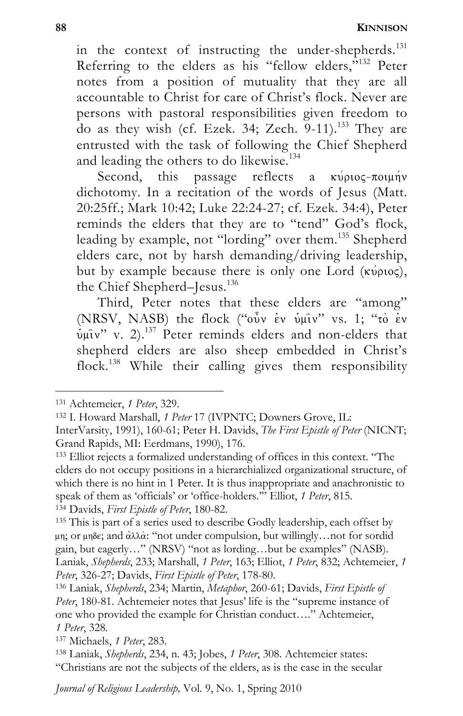in the context of instructing the under-shepherds.<sup>131</sup> Referring to the elders as his "fellow elders,"<sup>132</sup> Peter notes from a position of mutuality that they are all accountable to Christ for care of Christ's flock. Never are persons with pastoral responsibilities given freedom to do as they wish (cf. Ezek. 34; Zech. 9-11).<sup>133</sup> They are entrusted with the task of following the Chief Shepherd and leading the others to do likewise.<sup>134</sup>

Second, this passage reflects a  $\kappa \nu \rho \nu o \varsigma$ - $\pi o \nu \nu \nu \nu \nu$ dichotomy. In a recitation of the words of Jesus (Matt. 20:25ff.; Mark 10:42; Luke 22:24-27; cf. Ezek. 34:4), Peter reminds the elders that they are to "tend" God's flock, leading by example, not "lording" over them.<sup>135</sup> Shepherd elders care, not by harsh demanding/driving leadership, but by example because there is only one Lord ( $\kappa\acute{\nu}$ pios), the Chief Shepherd–Jesus.<sup>136</sup>

Third, Peter notes that these elders are "among" (NRSV, NASB) the flock (" $\hat{\text{o}v}$  iv  $\hat{\text{u}}$  uV" vs. 1; "to ev  $v$ u $\hat{v}$  v. 2).<sup>137</sup> Peter reminds elders and non-elders that shepherd elders are also sheep embedded in Christ's flock.138 While their calling gives them responsibility

<sup>&</sup>lt;sup>131</sup> Achtemeier, *1 Peter*, 329.<br><sup>132</sup> I. Howard Marshall, *1 Peter* 17 (IVPNTC; Downers Grove, IL:

InterVarsity, 1991), 160-61; Peter H. Davids, *The First Epistle of Peter* (NICNT;

<sup>&</sup>lt;sup>133</sup> Elliot rejects a formalized understanding of offices in this context. "The elders do not occupy positions in a hierarchialized organizational structure, of which there is no hint in 1 Peter. It is thus inappropriate and anachronistic to speak of them as 'officials' or 'office-holders." Elliot, 1 Peter, 815.

<sup>&</sup>lt;sup>134</sup> Davids, *First Epistle of Peter*, 180-82.<br><sup>135</sup> This is part of a series used to describe Godly leadership, each offset by

 $\mu$ m; or  $\mu$ mδe; and αλλα: "not under compulsion, but willingly... not for sordid gain, but eagerly…" (NRSV) "not as lording…but be examples" (NASB). Laniak, *Shepherds*, 233; Marshall, *1 Peter*, 163; Elliot, *1 Peter*, 832; Achtemeier, *1 Peter*, 326-27; Davids, *First Epistle of Peter*, 178-80. 136 Laniak, *Shepherds*, 234; Martin, *Metaphor*, 260-61; Davids, *First Epistle of* 

Peter, 180-81. Achtemeier notes that Jesus' life is the "supreme instance of one who provided the example for Christian conduct…." Achtemeier, *1 Peter*, 328. 137 Michaels, *1 Peter*, 283. 138 Laniak, *Shepherds*, 234, n. 43; Jobes, *1 Peter*, 308. Achtemeier states:

<sup>&</sup>quot;Christians are not the subjects of the elders, as is the case in the secular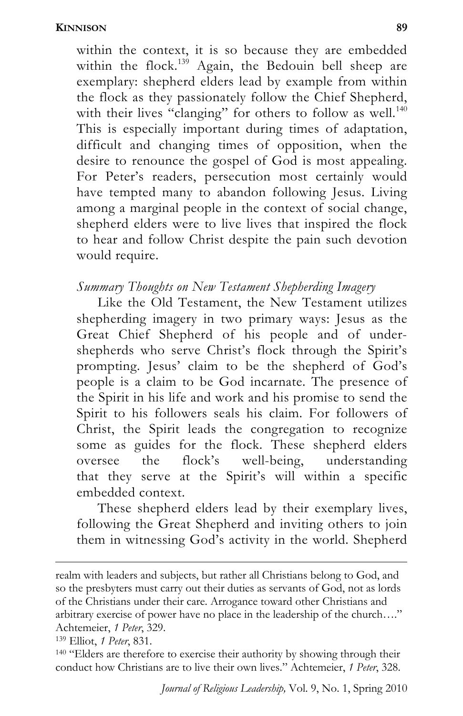within the context, it is so because they are embedded within the flock.<sup>139</sup> Again, the Bedouin bell sheep are exemplary: shepherd elders lead by example from within the flock as they passionately follow the Chief Shepherd, with their lives "clanging" for others to follow as well.<sup>140</sup> This is especially important during times of adaptation, difficult and changing times of opposition, when the desire to renounce the gospel of God is most appealing. For Peter's readers, persecution most certainly would have tempted many to abandon following Jesus. Living among a marginal people in the context of social change, shepherd elders were to live lives that inspired the flock to hear and follow Christ despite the pain such devotion would require.

### *Summary Thoughts on New Testament Shepherding Imagery*

Like the Old Testament, the New Testament utilizes shepherding imagery in two primary ways: Jesus as the Great Chief Shepherd of his people and of undershepherds who serve Christ's flock through the Spirit's prompting. Jesus' claim to be the shepherd of God's people is a claim to be God incarnate. The presence of the Spirit in his life and work and his promise to send the Spirit to his followers seals his claim. For followers of Christ, the Spirit leads the congregation to recognize some as guides for the flock. These shepherd elders oversee the flock's well-being, understanding that they serve at the Spirit's will within a specific embedded context.

These shepherd elders lead by their exemplary lives, following the Great Shepherd and inviting others to join them in witnessing God's activity in the world. Shepherd

realm with leaders and subjects, but rather all Christians belong to God, and so the presbyters must carry out their duties as servants of God, not as lords of the Christians under their care. Arrogance toward other Christians and arbitrary exercise of power have no place in the leadership of the church…." Achtemeier, *1 Peter*, 329.<br><sup>139</sup> Elliot, *1 Peter*, 831.<br><sup>140</sup> "Elders are therefore to exercise their authority by showing through their

conduct how Christians are to live their own lives." Achtemeier, *1 Peter*, 328.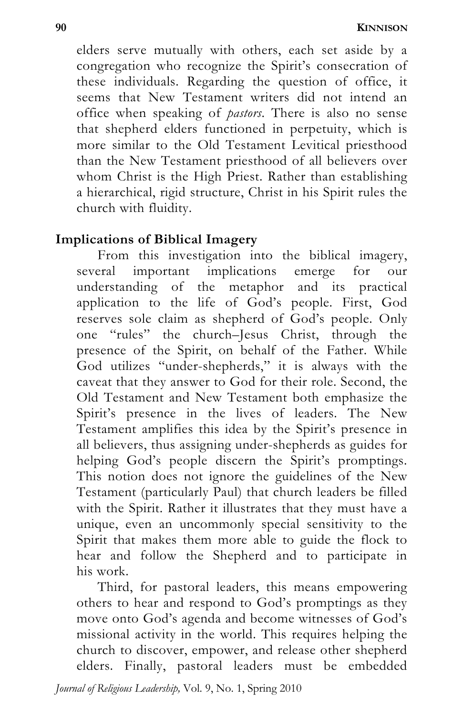elders serve mutually with others, each set aside by a congregation who recognize the Spirit's consecration of these individuals. Regarding the question of office, it seems that New Testament writers did not intend an office when speaking of *pastors*. There is also no sense that shepherd elders functioned in perpetuity, which is more similar to the Old Testament Levitical priesthood than the New Testament priesthood of all believers over whom Christ is the High Priest. Rather than establishing a hierarchical, rigid structure, Christ in his Spirit rules the church with fluidity.

### **Implications of Biblical Imagery**

From this investigation into the biblical imagery, several important implications emerge for our understanding of the metaphor and its practical application to the life of God's people. First, God reserves sole claim as shepherd of God's people. Only one "rules" the church–Jesus Christ, through the presence of the Spirit, on behalf of the Father. While God utilizes "under-shepherds," it is always with the caveat that they answer to God for their role. Second, the Old Testament and New Testament both emphasize the Spirit's presence in the lives of leaders. The New Testament amplifies this idea by the Spirit's presence in all believers, thus assigning under-shepherds as guides for helping God's people discern the Spirit's promptings. This notion does not ignore the guidelines of the New Testament (particularly Paul) that church leaders be filled with the Spirit. Rather it illustrates that they must have a unique, even an uncommonly special sensitivity to the Spirit that makes them more able to guide the flock to hear and follow the Shepherd and to participate in his work.

Third, for pastoral leaders, this means empowering others to hear and respond to God's promptings as they move onto God's agenda and become witnesses of God's missional activity in the world. This requires helping the church to discover, empower, and release other shepherd elders. Finally, pastoral leaders must be embedded